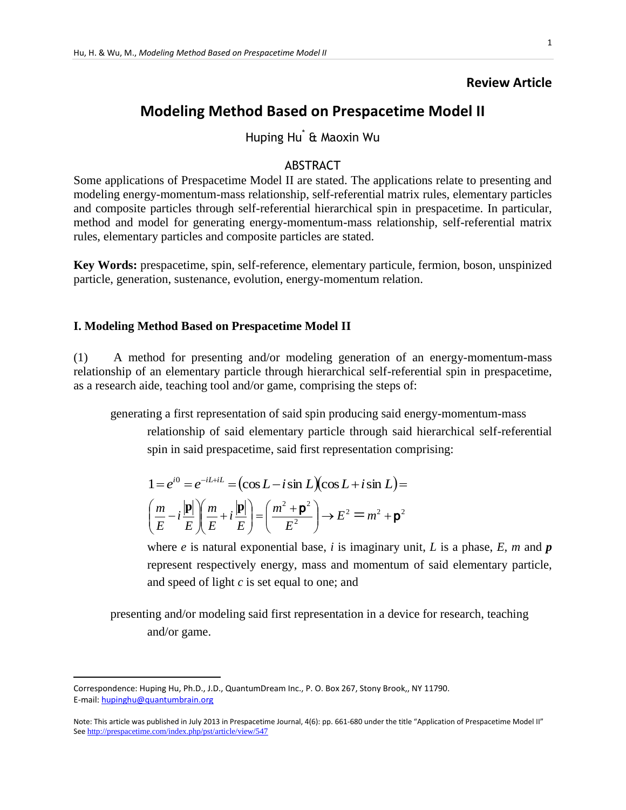### **Review Article**

# **Modeling Method Based on Prespacetime Model II**

Huping Hu\* & Maoxin Wu

### ABSTRACT

Some applications of Prespacetime Model II are stated. The applications relate to presenting and modeling energy-momentum-mass relationship, self-referential matrix rules, elementary particles and composite particles through self-referential hierarchical spin in prespacetime. In particular, method and model for generating energy-momentum-mass relationship, self-referential matrix rules, elementary particles and composite particles are stated.

**Key Words:** prespacetime, spin, self-reference, elementary particule, fermion, boson, unspinized particle, generation, sustenance, evolution, energy-momentum relation.

### **I. Modeling Method Based on Prespacetime Model II**

(1) A method for presenting and/or modeling generation of an energy-momentum-mass relationship of an elementary particle through hierarchical self-referential spin in prespacetime, as a research aide, teaching tool and/or game, comprising the steps of:

generating a first representation of said spin producing said energy-momentum-mass relationship of said elementary particle through said hierarchical self-referential spin in said prespacetime, said first representation comprising:

$$
1 = e^{i0} = e^{-iL+iL} = \left(\cos L - i \sin L\right)\left(\cos L + i \sin L\right) =
$$

$$
\left(\frac{m}{E} - i\frac{|\mathbf{p}|}{E}\right)\left(\frac{m}{E} + i\frac{|\mathbf{p}|}{E}\right) = \left(\frac{m^2 + \mathbf{p}^2}{E^2}\right) \rightarrow E^2 = m^2 + \mathbf{p}^2
$$

where *e* is natural exponential base, *i* is imaginary unit, *L* is a phase, *E*, *m* and *p* represent respectively energy, mass and momentum of said elementary particle, and speed of light *c* is set equal to one; and

presenting and/or modeling said first representation in a device for research, teaching and/or game.

 $\overline{\phantom{a}}$ 

Correspondence: Huping Hu, Ph.D., J.D., QuantumDream Inc., P. O. Box 267, Stony Brook,, NY 11790. E-mail[: hupinghu@quantumbrain.org](mailto:hupinghu@quantumbrain.org)

Note: This article was published in July 2013 in Prespacetime Journal, 4(6): pp. 661-680 under the title "Application of Prespacetime Model II" See <http://prespacetime.com/index.php/pst/article/view/547>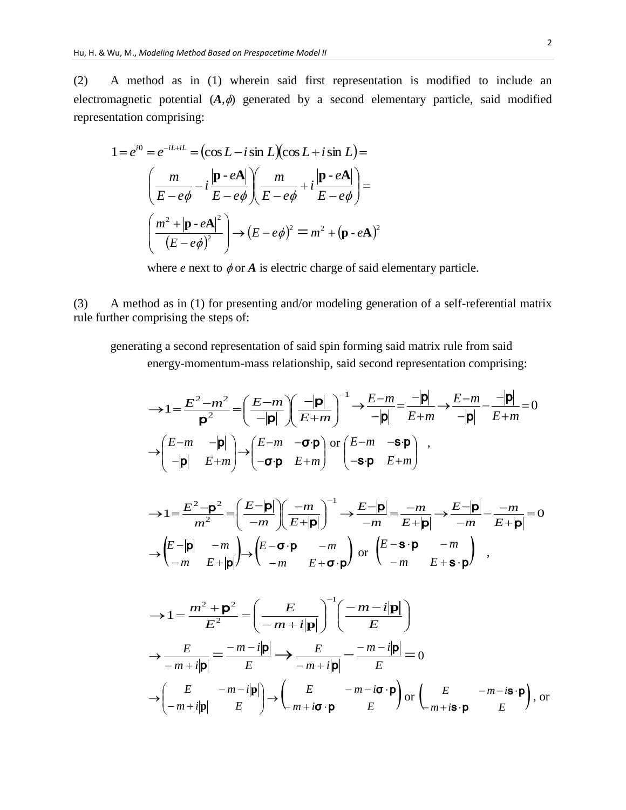(2) A method as in (1) wherein said first representation is modified to include an electromagnetic potential  $(A, \phi)$  generated by a second elementary particle, said modified representation comprising:

$$
1 = e^{i0} = e^{-iL+iL} = (\cos L - i \sin L)(\cos L + i \sin L) =
$$

$$
\left(\frac{m}{E - e\phi} - i\frac{|\mathbf{p} \cdot e\mathbf{A}|}{E - e\phi}\right)\left(\frac{m}{E - e\phi} + i\frac{|\mathbf{p} \cdot e\mathbf{A}|}{E - e\phi}\right) =
$$

$$
\left(\frac{m^2 + |\mathbf{p} \cdot e\mathbf{A}|^2}{(E - e\phi)^2}\right) \rightarrow (E - e\phi)^2 = m^2 + (\mathbf{p} \cdot e\mathbf{A})^2
$$

where *e* next to  $\phi$  or *A* is electric charge of said elementary particle.

(3) A method as in (1) for presenting and/or modeling generation of a self-referential matrix rule further comprising the steps of:

generating a second representation of said spin forming said matrix rule from said energy-momentum-mass relationship, said second representation comprising:

$$
\rightarrow 1 = \frac{E^2 - m^2}{\mathbf{p}^2} = \left(\frac{E - m}{-|\mathbf{p}|}\right)\left(\frac{-|\mathbf{p}|}{E + m}\right)^{-1} \rightarrow \frac{E - m}{-|\mathbf{p}|} = \frac{-|\mathbf{p}|}{E + m} \rightarrow \frac{E - m}{-|\mathbf{p}|} - \frac{-|\mathbf{p}|}{E + m} = 0
$$

$$
\rightarrow \begin{pmatrix} E - m & -|\mathbf{p}| \\ -|\mathbf{p}| & E + m \end{pmatrix} \rightarrow \begin{pmatrix} E - m & -\sigma \cdot \mathbf{p} \\ -\sigma \cdot \mathbf{p} & E + m \end{pmatrix} \text{ or } \begin{pmatrix} E - m & -\mathbf{s} \cdot \mathbf{p} \\ -\mathbf{s} \cdot \mathbf{p} & E + m \end{pmatrix} ,
$$

$$
\rightarrow 1 = \frac{E^2 - \mathbf{p}^2}{m^2} = \left(\frac{E - |\mathbf{p}|}{-m}\right) \left(\frac{-m}{E + |\mathbf{p}|}\right)^{-1} \rightarrow \frac{E - |\mathbf{p}|}{-m} = \frac{-m}{E + |\mathbf{p}|} \rightarrow \frac{E - |\mathbf{p}|}{-m} - \frac{-m}{E + |\mathbf{p}|} = 0
$$

$$
\rightarrow \begin{pmatrix} E - |\mathbf{p}| & -m \\ -m & E + |\mathbf{p}| \end{pmatrix} \rightarrow \begin{pmatrix} E - \mathbf{\sigma} \cdot \mathbf{p} & -m \\ -m & E + \mathbf{\sigma} \cdot \mathbf{p} \end{pmatrix} \text{ or } \begin{pmatrix} E - \mathbf{S} \cdot \mathbf{p} & -m \\ -m & E + \mathbf{S} \cdot \mathbf{p} \end{pmatrix} ,
$$

$$
\rightarrow 1 = \frac{m^2 + \mathbf{p}^2}{E^2} = \left(\frac{E}{-m + i|\mathbf{p}|}\right)^{-1} \left(\frac{-m - i|\mathbf{p}|}{E}\right)
$$

$$
\rightarrow \frac{E}{-m + i|\mathbf{p}|} = \frac{-m - i|\mathbf{p}|}{E} \rightarrow \frac{E}{-m + i|\mathbf{p}|} - \frac{-m - i|\mathbf{p}|}{E} = 0
$$

$$
\rightarrow \left(\frac{E}{-m + i|\mathbf{p}|} - \frac{m - i|\mathbf{p}|}{E}\right) \rightarrow \left(\frac{E}{-m + i\mathbf{\sigma} \cdot \mathbf{p}} - \frac{m - i\mathbf{\sigma} \cdot \mathbf{p}}{E}\right) \text{ or } \left(\frac{E}{-m + i\mathbf{s} \cdot \mathbf{p}} - \frac{m - i\mathbf{s} \cdot \mathbf{p}}{E}\right), \text{ or}
$$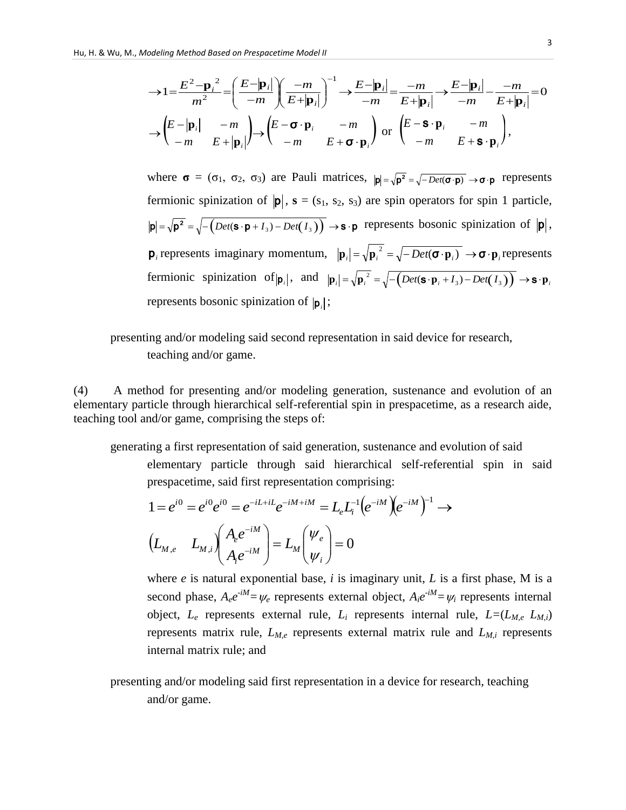$$
\rightarrow 1 = \frac{E^2 - \mathbf{p}_i^2}{m^2} = \left(\frac{E - |\mathbf{p}_i|}{-m}\right) \left(\frac{-m}{E + |\mathbf{p}_i|}\right)^{-1} \rightarrow \frac{E - |\mathbf{p}_i|}{-m} = \frac{-m}{E + |\mathbf{p}_i|} \rightarrow \frac{E - |\mathbf{p}_i|}{-m} - \frac{-m}{E + |\mathbf{p}_i|} = 0
$$
  

$$
\rightarrow \begin{pmatrix} E - |\mathbf{p}_i| & -m \\ -m & E + |\mathbf{p}_i| \end{pmatrix} \rightarrow \begin{pmatrix} E - \sigma \cdot \mathbf{p}_i & -m \\ -m & E + \sigma \cdot \mathbf{p}_i \end{pmatrix} \text{ or } \begin{pmatrix} E - \mathbf{S} \cdot \mathbf{p}_i & -m \\ -m & E + \mathbf{S} \cdot \mathbf{p}_i \end{pmatrix},
$$

where  $\sigma = (\sigma_1, \sigma_2, \sigma_3)$  are Pauli matrices,  $|\mathbf{p}| = \sqrt{\mathbf{p}^2} = \sqrt{-Det(\mathbf{\sigma} \cdot \mathbf{p})} \rightarrow \sigma \cdot \mathbf{p}$  represents fermionic spinization of  $|\mathbf{p}|$ ,  $\mathbf{s} = (s_1, s_2, s_3)$  are spin operators for spin 1 particle,  $p = \sqrt{p^2} = \sqrt{-\left(\text{Det}(\mathbf{s} \cdot \mathbf{p} + I_3) - \text{Det}(I_3)\right)} \rightarrow \mathbf{s} \cdot \mathbf{p}$  represents bosonic spinization of  $|\mathbf{p}|$ ,  $\mathbf{p}_i$  represents imaginary momentum,  $|\mathbf{p}_i| = \sqrt{\mathbf{p}_i^2} = \sqrt{-Det(\mathbf{\sigma} \cdot \mathbf{p}_i)} \rightarrow \mathbf{\sigma} \cdot \mathbf{p}_i$  represents fermionic spinization of  $|\mathbf{p}_i|$ , and  $|\mathbf{p}_i| = \sqrt{\mathbf{p}_i^2} = \sqrt{-\left(Det(\mathbf{S} \cdot \mathbf{p}_i + I_3) - Det(I_3)\right)} \rightarrow \mathbf{S} \cdot \mathbf{p}_i$ represents bosonic spinization of  $|\mathbf{p}_i|$ ;

### presenting and/or modeling said second representation in said device for research, teaching and/or game.

(4) A method for presenting and/or modeling generation, sustenance and evolution of an elementary particle through hierarchical self-referential spin in prespacetime, as a research aide, teaching tool and/or game, comprising the steps of:

generating a first representation of said generation, sustenance and evolution of said

elementary particle through said hierarchical self-referential spin in said

prespacetime, said first representation comprising:  
\n
$$
1 = e^{i0} = e^{i0} e^{i0} = e^{-iL+iL} e^{-iM+iM} = L_e L_i^{-1} (e^{-iM}) (e^{-iM})^{-1} \rightarrow
$$
\n
$$
(L_{M,e} L_{M,i}) (A_e e^{-iM}) = L_M (V_e) = 0
$$

where *e* is natural exponential base, *i* is imaginary unit, *L* is a first phase, M is a second phase,  $A_e e^{-iM} = \psi_e$  represents external object,  $A_i e^{-iM} = \psi_i$  represents internal object, *L<sup>e</sup>* represents external rule, *L<sup>i</sup>* represents internal rule, *L=*(*LM,e LM,i*) represents matrix rule, *LM,e* represents external matrix rule and *LM,i* represents internal matrix rule; and

presenting and/or modeling said first representation in a device for research, teaching and/or game.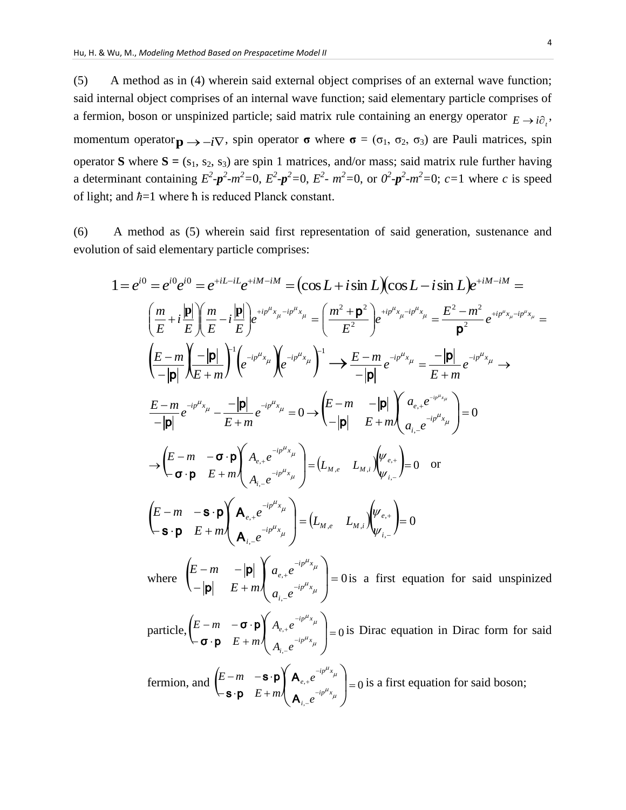(5) A method as in (4) wherein said external object comprises of an external wave function; said internal object comprises of an internal wave function; said elementary particle comprises of a fermion, boson or unspinized particle; said matrix rule containing an energy operator  $E \rightarrow i\partial_i$ , momentum operator  $\mathbf{p} \rightarrow -i\nabla$ , spin operator **σ** where **σ** = ( $\sigma_1$ ,  $\sigma_2$ ,  $\sigma_3$ ) are Pauli matrices, spin operator **S** where  $S = (s_1, s_2, s_3)$  are spin 1 matrices, and/or mass; said matrix rule further having a determinant containing  $E^2 - p^2 - m^2 = 0$ ,  $E^2 - p^2 = 0$ ,  $E^2 - m^2 = 0$ , or  $0^2 - p^2 - m^2 = 0$ ;  $c = 1$  where c is speed of light; and *ħ*=1 where ħ is reduced Planck constant.

(6) A method as (5) wherein said first representation of said generation, sustenance and evolution of said elementary particle comprises:

In or said elementary particle compress:  
\n
$$
1 = e^{i0} = e^{i0}e^{i0} = e^{+iL-iL}e^{+iM-iM} = (\cos L + i\sin L)(\cos L - i\sin L)e^{+iM-iM} =
$$
\n
$$
\left(\frac{m}{E} + i\frac{|\mathbf{p}|}{E}\right)\left(\frac{m}{E} - i\frac{|\mathbf{p}|}{E}\right)e^{+i p^{u} x_{\mu} - i p^{u} x_{\mu}} = \left(\frac{m^{2} + \mathbf{p}^{2}}{E^{2}}\right)e^{+i p^{u} x_{\mu} - i p^{u} x_{\mu}} = \frac{E^{2} - m^{2}}{\mathbf{p}^{2}}e^{+i p^{u} x_{\mu} - i p^{u} x_{\mu}} =
$$
\n
$$
\left(\frac{E - m}{-|\mathbf{p}|}\right)\left(\frac{-|\mathbf{p}|}{E + m}\right)^{1} \left(e^{-i p^{u} x_{\mu}}\right)e^{-i p^{u} x_{\mu}}\right)^{1} \rightarrow \frac{E - m}{-|\mathbf{p}|}e^{-i p^{u} x_{\mu}} = \frac{-|\mathbf{p}|}{E + m}e^{-i p^{u} x_{\mu}} \rightarrow
$$
\n
$$
\frac{E - m}{-|\mathbf{p}|}e^{-i p^{u} x_{\mu}} - \frac{-|\mathbf{p}|}{E + m}e^{-i p^{u} x_{\mu}} = 0 \rightarrow \left(\frac{E - m}{-|\mathbf{p}|} - \frac{|\mathbf{p}|}{E + m}\right)\left(a_{e_{+}}e^{-i p^{u} x_{\mu}}\right) = 0
$$
\n
$$
\rightarrow \left(\frac{E - m}{\sigma \cdot \mathbf{p}} - \frac{\sigma \cdot \mathbf{p}}{E + m}\right)\left(a_{e_{+}}e^{-i p^{u} x_{\mu}}\right) = (L_{M,e} - L_{M,i})\left(\frac{\psi_{e_{+}}}{\psi_{i_{+}}}\right) = 0 \text{ or}
$$
\n
$$
\left(\frac{E - m}{\mathbf{s} \cdot \mathbf{p}} - \frac{\mathbf{s} \cdot \mathbf{p}}{E + m}\right)\left(a_{e_{+}}e^{-i p^{u} x_{\mu}}\right) = (L_{M,e} - L_{M,i})\left(\frac{\psi_{e_{+}}}{\psi_{i_{+}}}\right) = 0
$$
\nwhere 
$$
\left(\
$$

particle,  $\begin{vmatrix} E-m & -\mathbf{0} \cdot \mathbf{p} \\ \vdots & \vdots & \vdots \\ \hline \mathbf{p} & \mathbf{p} & F + m \end{vmatrix} A_{e,+} e_{e,+}$ ,  $\alpha^{+e}$   $\alpha$   $\beta$  $\leftarrow$   $\sigma \cdot$   $\mathsf{p}$   $E$  +  $\begin{bmatrix} -m & -\sigma \cdot \mathbf{p} \\ \mathbf{r} & \mathbf{p} \end{bmatrix} A_{e,+} e^{-i p^{T} \cdot x_{\mu}}$ J  $\setminus$  $\mathsf{I}$  $\setminus$ ſ --- $^{+}$  $\mu_{x_{\mu}}$  $\mu_{x_{\mu}}$  $i p^{\mu} x$ *i*  $i p^{\mu} x$ *e*  $A_i e$  $A_{e+}e$  $E + m$  $E - m$ σ p  $\sigma \cdot p \mid A_{e,+}e^{-ip \cdot x_{\mu}} \mid = 0$  is Dirac equation in Dirac form for said

fermion, and  $\begin{bmatrix} E-m & -\mathbf{s} \cdot \mathbf{p} \\ 0 & E \end{bmatrix} \mathbf{A}_{e,+}e^{-\mathbf{p}} = 0$ ,  $,$ <sup>+</sup> $^{\epsilon}$   $|$  =  $\leftarrow$ **s** $\cdot$ **p**  $E +$  $-m \left( -\mathbf{S} \cdot \mathbf{p} \right) \mathbf{A}_{e,+} e^{-ipx} \mu$  $\int$  $\setminus$  $\mathsf{I}$  $\setminus$  $\sqrt{}$ --- $^{+}$  $\mu_{x_{\mu}}$  $\mu_{x_{\mu}}$  $i p^{\mu} x$ *i*  $i p^{\mu} x$ *e e e E m E m* A A s · p  $\mathbf{s} \cdot \mathbf{p} \left\| \mathbf{A}_{e,+} e^{-\mu x} \right\|_{0} = 0$  is a first equation for said boson;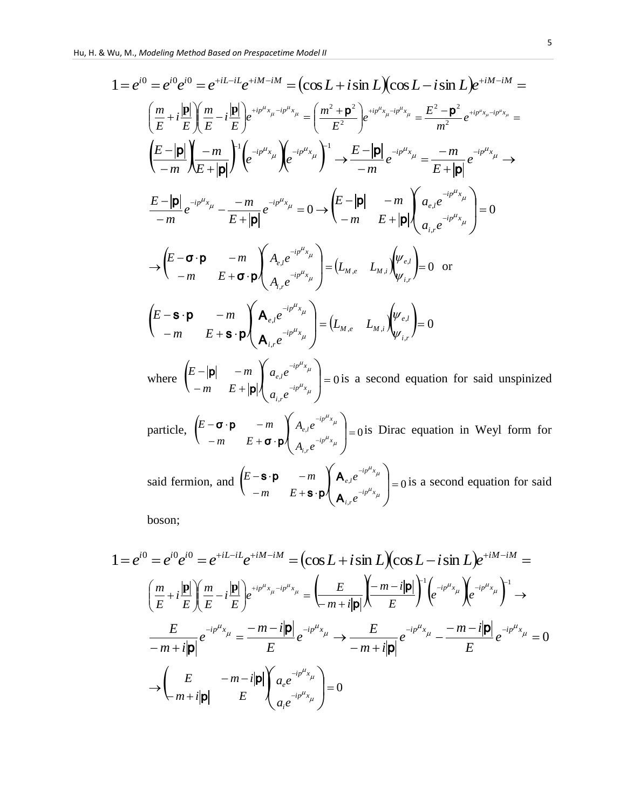Hu, H. & Wu, M., Modeling Method Based on Prespacetime Model II  
\n
$$
1 = e^{i0} = e^{i0}e^{i0} = e^{+iL-iL}e^{+iM-iM} = (\cos L + i \sin L)(\cos L - i \sin L)e^{+iM-iM} =
$$
\n
$$
\left(\frac{m}{E} + i\frac{|\mathbf{p}|}{E}\right) \left(\frac{m}{E} - i\frac{|\mathbf{p}|}{E}\right) e^{+i p^{u} x_{\mu} - i p^{u} x_{\mu}} = \left(\frac{m^{2} + \mathbf{p}^{2}}{E^{2}}\right) e^{+i p^{u} x_{\mu} - i p^{u} x_{\mu}} = \frac{E^{2} - \mathbf{p}^{2}}{m^{2}} e^{+i p^{u} x_{\mu} - i p^{u} x_{\mu}} =
$$
\n
$$
\left(\frac{E - |\mathbf{p}|}{-m}\right) \left(-m\right) \left(e^{-i p^{u} x_{\mu}}\right) \left(e^{-i p^{u} x_{\mu}}\right)^{1} \rightarrow \frac{E - |\mathbf{p}|}{-m} e^{-i p^{u} x_{\mu}} = \frac{-m}{E + |\mathbf{p}|} e^{-i p^{u} x_{\mu}} \rightarrow
$$
\n
$$
\frac{E - |\mathbf{p}|}{-m} e^{-i p^{u} x_{\mu}} - \frac{-m}{E + |\mathbf{p}|} e^{-i p^{u} x_{\mu}} = 0 \rightarrow \left(\frac{E - |\mathbf{p}|}{-m} - \frac{m}{E + |\mathbf{p}|} \right) \left(\frac{a_{e,\mu} e^{-i p^{u} x_{\mu}}}{a_{i,\mu} e^{-i p^{u} x_{\mu}}}\right) = 0
$$
\n
$$
\rightarrow \left(\frac{E - \sigma \cdot \mathbf{p}}{-m} - \frac{m}{E + \sigma \cdot \mathbf{p}} \right) \left(\frac{A_{e,\mu} e^{-i p^{u} x_{\mu}}}{A_{i,\nu} e^{-i p^{u} x_{\mu}}}\right) = (L_{M,e} - L_{M,i}) \left(\frac{\psi_{e,i}}{\psi_{i,\nu}}\right) = 0 \text{ or}
$$
\n
$$
\left(\frac{E - \mathbf{s} \cdot \mathbf{p}}{-m} - \frac{m}{E + \mathbf{s} \cdot \mathbf{p}} \right) \left(\frac{A_{e,\mu} e^{-i p^{u}
$$

particle,  $\begin{vmatrix} E - \mathbf{0} \cdot \mathbf{p} & -m \\ m & E + \mathbf{z} \end{vmatrix} A_{e,l} e^{-\mathbf{r}} = 0$ ,  $\begin{array}{cc} \n\cdot & \cdot \\
\cdot & \cdot\n\end{array}$  =  $-m$   $E+\sigma$ .  $-\sigma \cdot \mathbf{p}$   $-m$   $A_{e,l}e^{-ip^T x_{\mu}}$ J  $\setminus$  $\mathbf{I}$  $\setminus$  $\sqrt{}$  $\overline{a}$  $\overline{a}$  $\mu_{x_{\mu}}$  $\mu_{x_{\mu}}$  $i p^{\mu} x$ *i r*  $i p^{\mu} x$ *e l*  $A_{i,r}e$  $A_{e}$ ,  $e$ *m E*  $E - \sigma \cdot \mathbf{p}$  – *m* σ p  $\sigma \cdot \mathbf{p}$  -m  $\left\{ A_{e,l}e^{-ip^{2}x_{\mu}} \right\} = 0$  is Dirac equation in Weyl form for

said fermion, and  $\begin{bmatrix} E-**S** \cdot **P** & -m \\ m & F & R \end{bmatrix} \begin{bmatrix} **A** \end{bmatrix} e^{i\theta} = 0$ ,  $\begin{array}{cc} \n\cdot & \cdot \\
\cdot & \cdot\n\end{array}$  =  $-m$   $E+S$ .  $\begin{bmatrix} -\mathbf{s} \cdot \mathbf{p} & -m \\ m & F + \mathbf{e} \cdot \mathbf{p} \end{bmatrix} \mathbf{A}_{e,l} e^{-ip^T x_{\mu}}$  $\int$  $\setminus$  $\begin{array}{c} \end{array}$  $\setminus$  $\sqrt{}$  $\overline{a}$  $\overline{a}$  $\mu_{x_{\mu}}$  $\mu_{x_{\mu}}$  $i p^{\mu} x$ *i r*  $i p^{\mu} x$ *e l e e m E*  $E - S \cdot p$   $-m$ A A  $s \cdot p$  $\mathbf{s} \cdot \mathbf{p}$  -*m*  $\left\{ \mathbf{A}_{e,l}e^{-ipx} \right\}_{l=0}^{N}$  is a second equation for said

boson;

$$
1 = e^{i0} = e^{i0}e^{i0} = e^{+iL-iL}e^{+iM-iM} = \left(\cos L + i\sin L\right)\left(\cos L - i\sin L\right)e^{+iM-iM} =
$$
  
\n
$$
\left(\frac{m}{E} + i\frac{|\mathbf{p}|}{E}\right)\left(\frac{m}{E} - i\frac{|\mathbf{p}|}{E}\right)e^{+ip^{\mu}x_{\mu} - ip^{\mu}x_{\mu}} = \left(\frac{E}{-m+i|\mathbf{p}|}\right)\left(\frac{-m-i|\mathbf{p}|}{E}\right)^{-1}\left(e^{-ip^{\mu}x_{\mu}}\right)e^{-ip^{\mu}x_{\mu}}\right)^{-1} \rightarrow
$$
  
\n
$$
\frac{E}{-m+i|\mathbf{p}|}e^{-ip^{\mu}x_{\mu}} = \frac{-m-i|\mathbf{p}|}{E}e^{-ip^{\mu}x_{\mu}} \rightarrow \frac{E}{-m+i|\mathbf{p}|}e^{-ip^{\mu}x_{\mu}} - \frac{-m-i|\mathbf{p}|}{E}e^{-ip^{\mu}x_{\mu}} = 0
$$
  
\n
$$
\rightarrow \left(\frac{E}{-m+i|\mathbf{p}|} - \frac{-m-i|\mathbf{p}|}{E}\right)\left(\frac{a_{e}e^{-ip^{\mu}x_{\mu}}}{a_{i}e^{-ip^{\mu}x_{\mu}}}\right) = 0
$$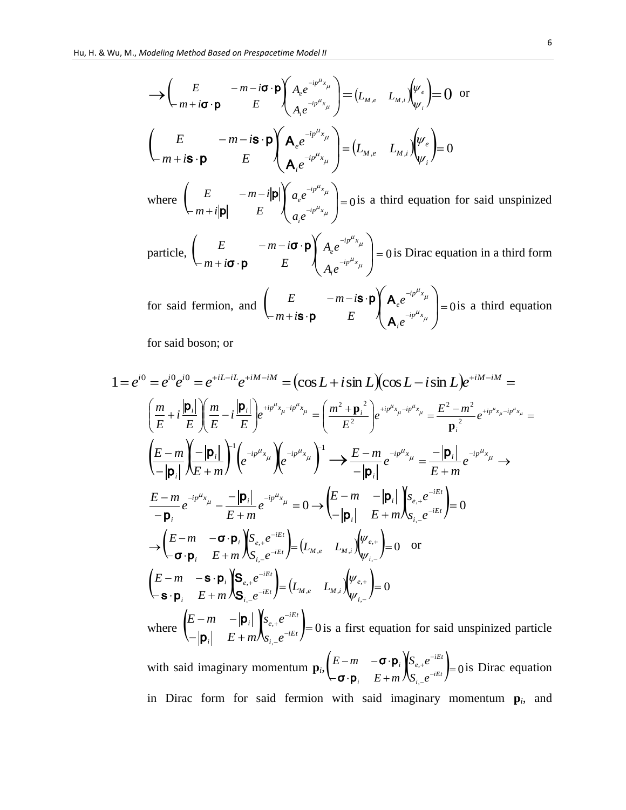$$
\sum \begin{pmatrix} E & -m - i\boldsymbol{\sigma} \cdot \boldsymbol{p} \\ m + i\boldsymbol{\sigma} \cdot \boldsymbol{p} & E \end{pmatrix} \begin{pmatrix} A_e e^{-ip^{\mu}x_{\mu}} \\ A_i e^{-ip^{\mu}x_{\mu}} \end{pmatrix} = (L_{M,e} - L_{M,i}) \begin{pmatrix} \psi_e \\ \psi_i \end{pmatrix} = 0 \text{ or}
$$
\n
$$
\begin{pmatrix} E & -m - i\boldsymbol{\sigma} \cdot \boldsymbol{p} \\ m + i\boldsymbol{\sigma} \cdot \boldsymbol{p} & E \end{pmatrix} \begin{pmatrix} A_e e^{-ip^{\mu}x_{\mu}} \\ A_i e^{-ip^{\mu}x_{\mu}} \end{pmatrix} = (L_{M,e} - L_{M,i}) \begin{pmatrix} \psi_e \\ \psi_i \end{pmatrix} = 0
$$
\nwhere\n
$$
\begin{pmatrix} E & -m - i|\boldsymbol{p}| \\ m + i|\boldsymbol{p}| & E \end{pmatrix} \begin{pmatrix} a_e e^{-ip^{\mu}x_{\mu}} \\ a_i e^{-ip^{\mu}x_{\mu}} \end{pmatrix} = 0 \text{ is a third equation for said unspinized}
$$
\nparticle,\n
$$
\begin{pmatrix} E & -m - i\boldsymbol{\sigma} \cdot \boldsymbol{p} \\ A_i e^{-ip^{\mu}x_{\mu}} \end{pmatrix} = 0 \text{ is Dirac equation in a third form}
$$
\nfor said fermion, and\n
$$
\begin{pmatrix} E & -m - i\boldsymbol{\sigma} \cdot \boldsymbol{p} \\ m + i\boldsymbol{\sigma} \cdot \boldsymbol{p} & E \end{pmatrix} \begin{pmatrix} A_e e^{-ip^{\mu}x_{\mu}} \\ A_e e^{-ip^{\mu}x_{\mu}} \end{pmatrix} = 0 \text{ is a third equation}
$$

 $\int$ 

 $-i p^{\mu} x_{\mu}$ 

 $\setminus$ 

*i*

A

*e*

for said boson; or

1 = 
$$
e^{i0} = e^{i0}e^{i0} = e^{+iL-iL}e^{+iM-iM} = (\cos L + i \sin L)(\cos L - i \sin L)e^{+iM-iM} =
$$
  
\n $\left(\frac{m}{E} + i\frac{|\mathbf{p}_i|}{E}\right)\left(\frac{m}{E} - i\frac{|\mathbf{p}_i|}{E}\right)e^{+ip^{\mu}x_{\mu} - ip^{\mu}x_{\mu}} = \left(\frac{m^2 + \mathbf{p}_i^2}{E^2}\right)e^{+ip^{\mu}x_{\mu} - ip^{\mu}x_{\mu}} = \frac{E^2 - m^2}{\mathbf{p}_i^2}e^{+ip^{\mu}x_{\mu} - ip^{\mu}x_{\mu}} =$   
\n $\left(\frac{E - m}{-|\mathbf{p}_i|}\right)\left(\frac{|\mathbf{p}_i|}{E + m}\right)^1\left(e^{-ip^{\mu}x_{\mu}}\right)e^{-ip^{\mu}x_{\mu}}\right)^1 \rightarrow \frac{E - m}{-|\mathbf{p}_i|}e^{-ip^{\mu}x_{\mu}} = \frac{-|\mathbf{p}_i|}{E + m}e^{-ip^{\mu}x_{\mu}} \rightarrow$   
\n $\frac{E - m}{-\mathbf{p}_i}e^{-ip^{\mu}x_{\mu}} - \frac{-|\mathbf{p}_i|}{E + m}e^{-ip^{\mu}x_{\mu}} = 0 \rightarrow \left(\frac{E - m}{-|\mathbf{p}_i|}\right)\left(\frac{S_{e,+}e^{-iEt}}{E + m}\right) = 0$   
\n $\rightarrow \left(\frac{E - m}{\sigma \cdot \mathbf{p}_i} - \frac{\mathbf{p}_i}{E + m}\right)\left(\frac{S_{e,+}e^{-iEt}}{S_{i,-}e^{-iEt}}\right) = (L_{M,e} - L_{M,i})\left(\frac{W_{e,+}}{W_{i,-}}\right) = 0$  or  
\n $\left(\frac{E - m}{\sigma \cdot \mathbf{p}_i} - \frac{\mathbf{p}_i}{E + m}\right)\left(\frac{S_{e,+}e^{-iEt}}{S_{i,-}e^{-iEt}}\right) = (L_{M,e} - L_{M,i})\left(\frac{W_{e,+}}{W_{i,-}}\right) = 0$   
\nwhere  $\left(\frac{E - m}{-|\mathbf{p}_i|}\right)\left(\frac{S_{e,+}e^{-iEt$ 

 $m + i$ **s** · **p**  $E$ 

 $\mathbf{s} \cdot \mathbf{p}$ 

in Dirac form for said fermion with said imaginary momentum  $\mathbf{p}_i$ , and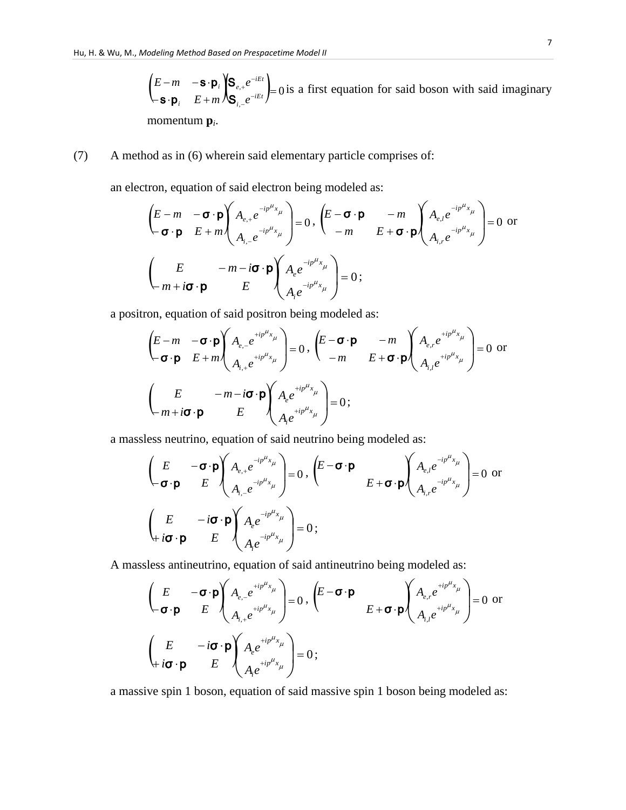$\begin{bmatrix} E-m & -\mathbf{S} \cdot \mathbf{p}_i \\ \mathbf{S} & E \end{bmatrix} \begin{bmatrix} \mathbf{S}_{e,+}e \\ \mathbf{S}_{e,-iE}e \end{bmatrix} = 0$ ,  $\mathbf{e}^{\mathbf{e}}$ <sub>iet</sub>  $\leftarrow$ **s** $\cdot$ **p**<sub>i</sub>  $E +$  $-m \quad -s$  $\epsilon$  $e^{-}$  $e^{-iEt}$  $e^{iEt}$ *i i e e E m E m* S S  $s \cdot p$  $\mathbf{s} \cdot \mathbf{p}_i$   $\left\{ \mathbf{S}_{e,+}e^{-iEt} \right\} = 0$  is a first equation for said boson with said imaginary momentum **p***<sup>i</sup>* .

(7) A method as in (6) wherein said elementary particle comprises of:

an electron, equation of said electron being modeled as:

$$
\left(\begin{array}{ccc}\nE - m & -\boldsymbol{\sigma} \cdot \boldsymbol{p} \\
-\boldsymbol{\sigma} \cdot \boldsymbol{p} & E + m\n\end{array}\right) A_{e,+} e^{-ip^{\mu}x_{\mu}}\n\begin{bmatrix}\nE - \boldsymbol{\sigma} \cdot \boldsymbol{p} & -m \\
-m & E + \boldsymbol{\sigma} \cdot \boldsymbol{p}\n\end{bmatrix}\n\begin{array}{ccc}\nA_{e,+} e^{-ip^{\mu}x_{\mu}} \\
A_{i,-} e^{-ip^{\mu}x_{\mu}}\n\end{array}\n\right) = 0 \text{ or } \\
\left(\begin{array}{ccc}\nE & -m - i\boldsymbol{\sigma} \cdot \boldsymbol{p} \\
m + i\boldsymbol{\sigma} \cdot \boldsymbol{p} & E\n\end{array}\right) A_{e} e^{-ip^{\mu}x_{\mu}}\n\begin{array}{ccc}\nA_{e,-} e^{-ip^{\mu}x_{\mu}} \\
A_{i} e^{-ip^{\mu}x_{\mu}}\n\end{array}\n\right) = 0 ;
$$

a positron, equation of said positron being modeled as:

$$
\left(\begin{array}{ccc}\nE-m & -\sigma \cdot \mathbf{p} \\
-\sigma \cdot \mathbf{p} & E+m\n\end{array}\right)\n\begin{array}{c}\nA_{e,-}e^{+ip^{\mu}x_{\mu}} \\
A_{i,+}e^{+ip^{\mu}x_{\mu}}\n\end{array}\right) = 0, \quad\n\left(\begin{array}{ccc}\nE-\sigma \cdot \mathbf{p} & -m \\
-m & E+\sigma \cdot \mathbf{p}\n\end{array}\right)\n\begin{array}{c}\nA_{e,r}e^{+ip^{\mu}x_{\mu}} \\
A_{i,l}e^{+ip^{\mu}x_{\mu}}\n\end{array}\right) = 0 \text{ or } \\
\left(\begin{array}{ccc}\nE & -m-i\sigma \cdot \mathbf{p} \\
m+i\sigma \cdot \mathbf{p} & E\n\end{array}\right)\n\begin{array}{c}\nA_{e}e^{+ip^{\mu}x_{\mu}} \\
A_{i}e^{+ip^{\mu}x_{\mu}}\n\end{array}\right) = 0 \; ;\n\end{array}
$$

a massless neutrino, equation of said neutrino being modeled as:

$$
\left(\begin{array}{ccc}\nE & -\boldsymbol{\sigma} \cdot \boldsymbol{p} \\
\boldsymbol{\sigma} \cdot \boldsymbol{p} & E\n\end{array}\n\right)\n\begin{array}{c}\nA_{e,+}e^{-ip^{\mu}x_{\mu}} \\
A_{i,-}e^{-ip^{\mu}x_{\mu}}\n\end{array}\n\right) = 0, \quad\n\left(\begin{array}{ccc}\nE - \boldsymbol{\sigma} \cdot \boldsymbol{p} & \Delta_{e,\rho}e^{-ip^{\mu}x_{\mu}} \\
E + \boldsymbol{\sigma} \cdot \boldsymbol{p}\n\end{array}\right)\n\begin{array}{c}\nA_{e,i}e^{-ip^{\mu}x_{\mu}} \\
A_{i,r}e^{-ip^{\mu}x_{\mu}}\n\end{array}\n\right) = 0 \text{ or } \\
\left(\begin{array}{ccc}\nE & -i\boldsymbol{\sigma} \cdot \boldsymbol{p} \\
E + i\boldsymbol{\sigma} \cdot \boldsymbol{p}\n\end{array}\right)\n\begin{array}{c}\nA_{e,i}e^{-ip^{\mu}x_{\mu}} \\
A_{i}e^{-ip^{\mu}x_{\mu}}\n\end{array}\n\right) = 0 ;\n\end{array}
$$

A massless antineutrino, equation of said antineutrino being modeled as:

$$
\begin{pmatrix}\nE & -\boldsymbol{\sigma} \cdot \boldsymbol{p} \\
-\boldsymbol{\sigma} \cdot \boldsymbol{p} & E\n\end{pmatrix}\n\begin{pmatrix}\nA_{e,-}e^{+ip^{\mu}x_{\mu}} \\
A_{i,+}e^{+ip^{\mu}x_{\mu}}\n\end{pmatrix} = 0, \quad\n\begin{pmatrix}\nE - \boldsymbol{\sigma} \cdot \boldsymbol{p} \\
E + \boldsymbol{\sigma} \cdot \boldsymbol{p}\n\end{pmatrix}\n\begin{pmatrix}\nA_{e,r}e^{+ip^{\mu}x_{\mu}} \\
A_{i,l}e^{+ip^{\mu}x_{\mu}}\n\end{pmatrix} = 0 \text{ or } \n\begin{pmatrix}\nE & -i\boldsymbol{\sigma} \cdot \boldsymbol{p} \\
A_{i}e^{+ip^{\mu}x_{\mu}}\n\end{pmatrix} = 0;
$$

a massive spin 1 boson, equation of said massive spin 1 boson being modeled as: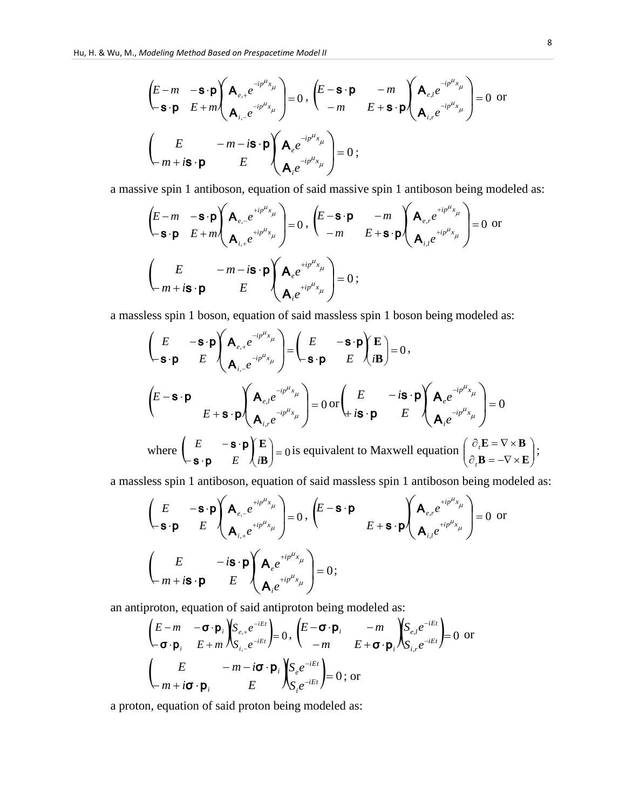$$
\left(\begin{array}{ccc}\nE-m & -\mathbf{s}\cdot\mathbf{p} \\
-\mathbf{s}\cdot\mathbf{p} & E+m\n\end{array}\right)\n\left(\begin{array}{ccc}\n\mathbf{A}_{e,+}e^{-ip\mu_{x_{\mu}}}\n\end{array}\right) = 0, \quad\n\left(\begin{array}{ccc}\nE-\mathbf{s}\cdot\mathbf{p} & -m \\
-m & E+\mathbf{s}\cdot\mathbf{p}\n\end{array}\right)\n\left(\begin{array}{ccc}\n\mathbf{A}_{e,i}e^{-ip\mu_{x_{\mu}}}\n\end{array}\right) = 0 \text{ or } \\
\left(\begin{array}{ccc}\nE & -m-is\cdot\mathbf{p} \\
m+is\cdot\mathbf{p}\n\end{array}\right)\n\left(\begin{array}{ccc}\n\mathbf{A}_{e}e^{-ip\mu_{x_{\mu}}}\n\end{array}\right) = 0 ;\n\end{array}
$$

a massive spin 1 antiboson, equation of said massive spin 1 antiboson being modeled as:

$$
\left(\begin{array}{ccc}\nE-m & -\mathbf{s}\cdot\mathbf{p} \\
-\mathbf{s}\cdot\mathbf{p} & E+m\n\end{array}\right)\n\left(\begin{array}{ccc}\n\mathbf{A}_{e,-}e^{+ip^{\mu}x_{\mu}} \\
\mathbf{A}_{i,+}e^{+ip^{\mu}x_{\mu}}\n\end{array}\right) = 0, \quad\n\left(\begin{array}{ccc}\nE-\mathbf{s}\cdot\mathbf{p} & -m \\
-m & E+\mathbf{s}\cdot\mathbf{p}\n\end{array}\right)\n\left(\begin{array}{ccc}\n\mathbf{A}_{e,r}e^{+ip^{\mu}x_{\mu}} \\
\mathbf{A}_{i,l}e^{+ip^{\mu}x_{\mu}}\n\end{array}\right) = 0 \text{ or } \\
\left(\begin{array}{ccc}\nE & -m-i\mathbf{s}\cdot\mathbf{p} \\
m+i\mathbf{s}\cdot\mathbf{p} & E\n\end{array}\right)\n\left(\begin{array}{ccc}\n\mathbf{A}_{e}e^{+ip^{\mu}x_{\mu}} \\
\mathbf{A}_{i}e^{+ip^{\mu}x_{\mu}}\n\end{array}\right) = 0 ;
$$

a massless spin 1 boson, equation of said massless spin 1 boson being modeled as:  
\n
$$
\begin{pmatrix}\nE & -\mathbf{s} \cdot \mathbf{p} \\
\mathbf{s} \cdot \mathbf{p} & E\n\end{pmatrix}\n\begin{pmatrix}\n\mathbf{A}_{e,+}e^{-ip\mu_{x_{\mu}}}\n\mathbf{A}_{i,-}e^{-ip\mu_{x_{\mu}}}\n\end{pmatrix} = \begin{pmatrix}\nE & -\mathbf{s} \cdot \mathbf{p} \\
-\mathbf{s} \cdot \mathbf{p} & E\n\end{pmatrix}\n\begin{pmatrix}\n\mathbf{E} \\
i\mathbf{B}\n\end{pmatrix} = 0,
$$
\n
$$
\begin{pmatrix}\nE - \mathbf{s} \cdot \mathbf{p} \\
\mathbf{A}_{i,-}e^{-ip\mu_{x_{\mu}}}\n\end{pmatrix} = 0 \text{ or } \begin{pmatrix}\nE & -i\mathbf{s} \cdot \mathbf{p} \\
i\mathbf{s} \cdot \mathbf{p} & E\n\end{pmatrix}\n\begin{pmatrix}\n\mathbf{A}_{e}e^{-ip\mu_{x_{\mu}}}\n\mathbf{A}_{i}e^{-ip\mu_{x_{\mu}}}\n\end{pmatrix} = 0
$$
\nwhere  $\begin{pmatrix}\nE & -\mathbf{s} \cdot \mathbf{p} \\
\mathbf{s} \cdot \mathbf{p} & E\n\end{pmatrix}\n\begin{pmatrix}\n\mathbf{A}_{i}e^{-ip\mu_{x_{\mu}}}\n\mathbf{B}\n\end{pmatrix} = 0$  is equivalent to Maxwell equation  $\begin{pmatrix}\n\partial_{i}\mathbf{E} = \nabla \times \mathbf{B} \\
\partial_{i}\mathbf{B} = -\nabla \times \mathbf{E}\n\end{pmatrix}$ ;

a massless spin 1 antiboson, equation of said massless spin 1 antiboson being modeled as:

$$
\begin{pmatrix}\nE & -\mathbf{s} \cdot \mathbf{p} \\
\mathbf{s} \cdot \mathbf{p} & E\n\end{pmatrix}\n\begin{pmatrix}\n\mathbf{A}_{e,-}e^{+ip^{\mu}x_{\mu}} \\
\mathbf{A}_{i,+}e^{+ip^{\mu}x_{\mu}}\n\end{pmatrix} = 0, \quad\n\begin{pmatrix}\nE - \mathbf{s} \cdot \mathbf{p} \\
E + \mathbf{s} \cdot \mathbf{p}\n\end{pmatrix}\n\begin{pmatrix}\n\mathbf{A}_{e,r}e^{+ip^{\mu}x_{\mu}} \\
\mathbf{A}_{i,l}e^{+ip^{\mu}x_{\mu}}\n\end{pmatrix} = 0 \text{ or } \n\begin{pmatrix}\nE & -i\mathbf{s} \cdot \mathbf{p} \\
\mathbf{A}_{e}e^{+ip^{\mu}x_{\mu}}\n\end{pmatrix} = 0;
$$

an antiproton, equation of said antiproton being modeled as:

$$
\begin{pmatrix}\nE - m & -\boldsymbol{\sigma} \cdot \boldsymbol{p}_i \\
-\boldsymbol{\sigma} \cdot \boldsymbol{p}_i & E + m\n\end{pmatrix}\n\begin{pmatrix}\nS_{e,+}e^{-iEt} \\
S_{i,-}e^{-iEt}\n\end{pmatrix} = 0, \begin{pmatrix}\nE - \boldsymbol{\sigma} \cdot \boldsymbol{p}_i & -m \\
-m & E + \boldsymbol{\sigma} \cdot \boldsymbol{p}_i\n\end{pmatrix}\n\begin{pmatrix}\nS_{e,I}e^{-iEt} \\
S_{i,P}e^{-iEt}\n\end{pmatrix} = 0 \text{ or }
$$
\n
$$
\begin{pmatrix}\nE & -m - i\boldsymbol{\sigma} \cdot \boldsymbol{p}_i \\
m + i\boldsymbol{\sigma} \cdot \boldsymbol{p}_i & E\n\end{pmatrix}\n\begin{pmatrix}\nS_{e}e^{-iEt} \\
S_{i}e^{-iEt}\n\end{pmatrix} = 0 \text{; or }
$$

a proton, equation of said proton being modeled as: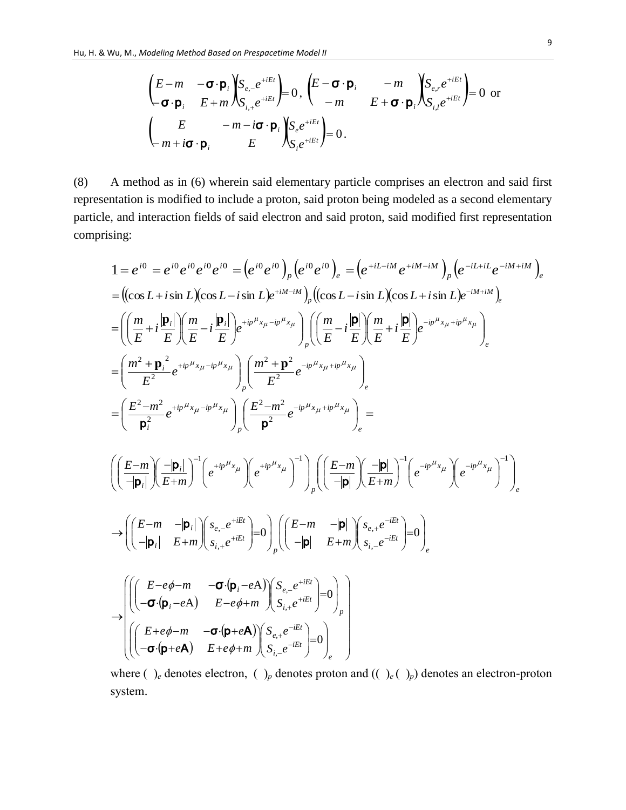$$
\begin{pmatrix}\nE-m & -\boldsymbol{\sigma} \cdot \boldsymbol{p}_i \\
-\boldsymbol{\sigma} \cdot \boldsymbol{p}_i & E+m\n\end{pmatrix}\n\begin{pmatrix}\nS_{e,-}e^{+iEt} \\
S_{i,+}e^{+iEt}\n\end{pmatrix} = 0, \quad\n\begin{pmatrix}\nE-\boldsymbol{\sigma} \cdot \boldsymbol{p}_i & -m \\
-m & E+\boldsymbol{\sigma} \cdot \boldsymbol{p}_i\n\end{pmatrix}\n\begin{pmatrix}\nS_{e,r}e^{+iEt} \\
S_{i,l}e^{+iEt}\n\end{pmatrix} = 0 \text{ or }
$$
\n
$$
\begin{pmatrix}\nE & -m-i\boldsymbol{\sigma} \cdot \boldsymbol{p}_i \\
m+i\boldsymbol{\sigma} \cdot \boldsymbol{p}_i & E\n\end{pmatrix}\n\begin{pmatrix}\nS_{e}e^{+iEt} \\
S_{i}e^{+iEt}\n\end{pmatrix} = 0.
$$

(8) A method as in (6) wherein said elementary particle comprises an electron and said first representation is modified to include a proton, said proton being modeled as a second elementary particle, and interaction fields of said electron and said proton, said modified first representation comprising:

sing:  
\n
$$
1 = e^{i0} = e^{i0} e^{i0} e^{i0} = (e^{i0} e^{i0})_p (e^{i0} e^{i0})_e = (e^{+iL-iM} e^{+iM-iM})_p (e^{-iL+iL} e^{-iM+iM})_e
$$
\n
$$
= ((\cos L + i \sin L)(\cos L - i \sin L)e^{+iM-iM})_p ((\cos L - i \sin L)(\cos L + i \sin L)e^{-iM+iM})_e
$$
\n
$$
= ((\frac{m}{E} + i \frac{|\mathbf{p}_i|}{E}) (\frac{m}{E} - i \frac{|\mathbf{p}_i|}{E}) e^{+ip^{\mu} x_{\mu} - ip^{\mu} x_{\mu}})_p ((\frac{m}{E} - i \frac{|\mathbf{p}|}{E}) (\frac{m}{E} + i \frac{|\mathbf{p}|}{E}) e^{-ip^{\mu} x_{\mu} + ip^{\mu} x_{\mu}})_e
$$
\n
$$
= (\frac{m^2 + \mathbf{p}_i^2}{E^2} e^{+ip^{\mu} x_{\mu} - ip^{\mu} x_{\mu}})_p (\frac{m^2 + \mathbf{p}^2}{E^2} e^{-ip^{\mu} x_{\mu} + ip^{\mu} x_{\mu}})_e
$$
\n
$$
= (\frac{E^2 - m^2}{\mathbf{p}_i^2} e^{+ip^{\mu} x_{\mu} - ip^{\mu} x_{\mu}})_p (\frac{E^2 - m^2}{\mathbf{p}^2} e^{-ip^{\mu} x_{\mu} + ip^{\mu} x_{\mu}})_e =
$$
\n
$$
((\frac{E - m}{-\mathbf{p}_i})(\frac{-|\mathbf{p}_i|}{E + m})^{-1} (e^{+ip^{\mu} x_{\mu}})^{-1})_p ((\frac{E - m}{-\mathbf{p}_i})(\frac{-|\mathbf{p}_i|}{E + m})^{-1} (e^{-ip^{\mu} x_{\mu}})^{-1})_e
$$
\n
$$
\rightarrow ((\frac{E - m}{-\mathbf{p}_i})(\frac{s_{e,e}e^{+iE_i}}{E + m})^{-1} \circ (e^{+iE_i})^{-1} \circ (e^{-iE_i})^{-1} \circ (e^{-iE_i})^{-1} \circ (e^{-iE_i})^{-1} \circ (e^{-iE_i})^{-1} \circ (e^{-iE_i})^{-1} \
$$

where ( )<sub>e</sub> denotes electron, ( )<sub>p</sub> denotes proton and (( )<sub>e</sub>( )<sub>p</sub>) denotes an electron-proton system.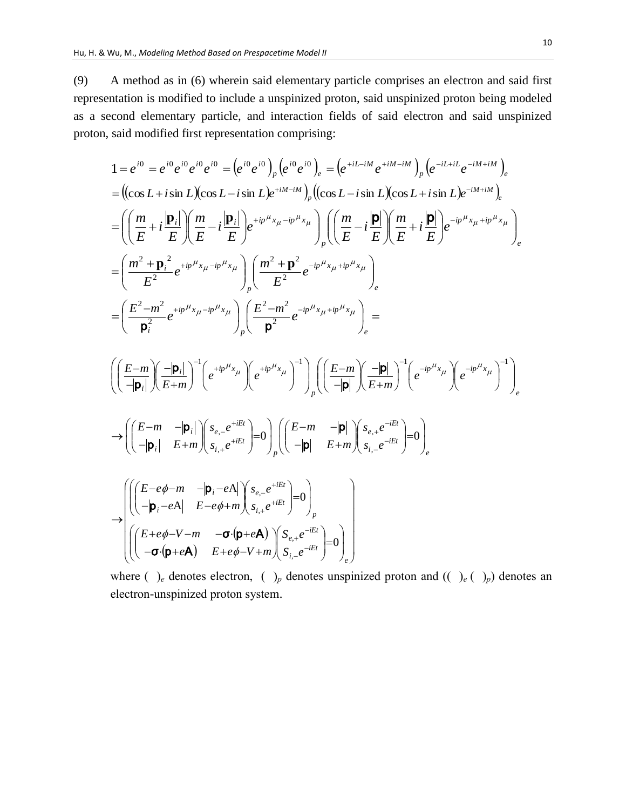(9) A method as in (6) wherein said elementary particle comprises an electron and said first representation is modified to include a unspinized proton, said unspinized proton being modeled as a second elementary particle, and interaction fields of said electron and said unspinized proton, said modified first representation comprising:

sau moment in st representation comprising.  
\n
$$
1 = e^{i0} = e^{i0} e^{i0} e^{i0} e^{i0} = (e^{i0} e^{i0})_p (e^{i0} e^{i0})_e = (e^{+iL-iM} e^{+iM-iM})_p (e^{-iL+iL} e^{-iM+iM})_e
$$
\n
$$
= ((\cos L + i \sin L)(\cos L - i \sin L) e^{+iM-iM})_p ((\cos L - i \sin L)(\cos L + i \sin L) e^{-iM+iM})_e
$$
\n
$$
= \left( \left( \frac{m}{E} + i \frac{|\mathbf{p}_i|}{E} \right) \left( \frac{m}{E} - i \frac{|\mathbf{p}_i|}{E} \right) e^{+ip \mu_{x_{\mu}} - ip \mu_{x_{\mu}}}
$$
\n
$$
\left( \frac{m}{E} - i \frac{|\mathbf{p}|}{E} \right) \left( \frac{m}{E} - i \frac{|\mathbf{p}|}{E} \right) e^{-ip \mu_{x_{\mu}} + ip \mu_{x_{\mu}}}
$$
\n
$$
= \left( \frac{m^2 + \mathbf{p}_i^2}{E^2} e^{+ip \mu_{x_{\mu}} - ip \mu_{x_{\mu}}}
$$
\n
$$
\left( \frac{E - m^2}{\mathbf{p}_i^2} e^{+ip \mu_{x_{\mu}} - ip \mu_{x_{\mu}}}
$$
\n
$$
\left( \frac{E - m^2}{\mathbf{p}_i} e^{+ip \mu_{x_{\mu}} - ip \mu_{x_{\mu}}}
$$
\n
$$
\left( \frac{E - m}{-|\mathbf{p}_i|} \right) \left( \frac{e^{+ip \mu_{x_{\mu}}}}{E} \right) e^{-ip \mu_{x_{\mu}}}} \right) e^{-ip \mu_{x_{\mu}} - ip \mu_{x_{\mu}}}
$$
\n
$$
\rightarrow \left( \left( \frac{E - m}{-|\mathbf{p}_i|} \right) \left( \frac{s_e}{E + m} \right)^{-1} e^{-ip \mu_{x_{\mu}}}
$$
\n
$$
\rightarrow \left( \left( \frac{E - m}{-|\mathbf{p}_i|} - \frac{|\mathbf{p}_i|}{E + m} \right) \left( \frac{s_e}{s_i} e^{-iEt} \right) = 0 \right)_p \left( \left( \frac{E
$$

$$
\rightarrow \begin{pmatrix}\n\left(\begin{pmatrix}\nE-e\phi-m & -|\mathbf{p}_i-eA| & s_{e,-}e^{+iEt} \\
-|\mathbf{p}_i-eA| & E-e\phi+m & s_{i,+}e^{+iEt}\n\end{pmatrix}=0\right)_{p} \\
\left(\begin{pmatrix}\nE+e\phi-V-m & -\sigma\cdot(\mathbf{p}+e\mathbf{A}) & s_{e,+}e^{-iEt} \\
-\sigma\cdot(\mathbf{p}+e\mathbf{A}) & E+e\phi-V+m & s_{i,-}e^{-iEt}\n\end{pmatrix}=0\right)_{e}\n\end{pmatrix}
$$

where ( )<sub>e</sub> denotes electron, ( )<sub>p</sub> denotes unspinized proton and (( )<sub>e</sub> ( )<sub>p</sub>) denotes an electron-unspinized proton system.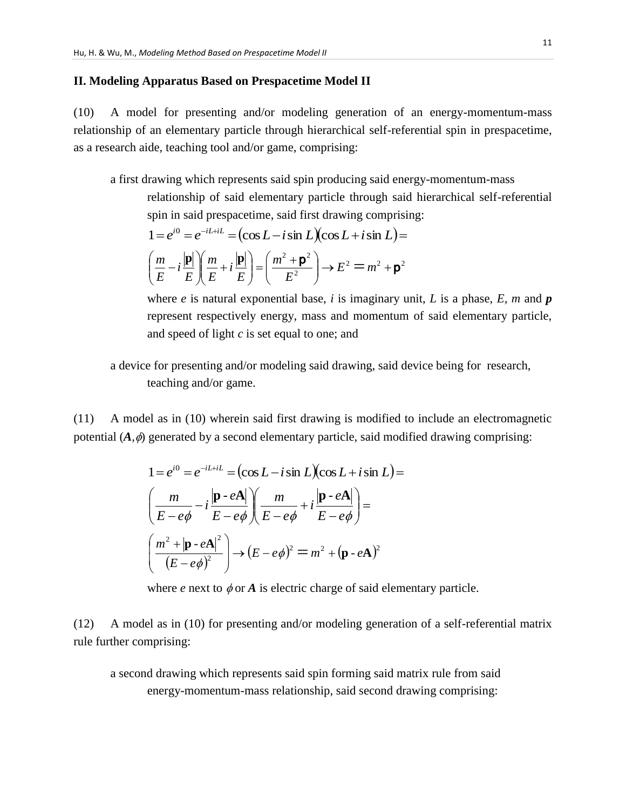#### **II. Modeling Apparatus Based on Prespacetime Model II**

(10) A model for presenting and/or modeling generation of an energy-momentum-mass relationship of an elementary particle through hierarchical self-referential spin in prespacetime, as a research aide, teaching tool and/or game, comprising:

a first drawing which represents said spin producing said energy-momentum-mass

relationship of said elementary particle through said hierarchical self-referential

spin in said prespacetime, said first drawing comprising:  
\n
$$
1 = e^{i0} = e^{-iL+iL} = (\cos L - i \sin L)(\cos L + i \sin L) =
$$
\n
$$
\left(\frac{m}{E} - i \frac{|\mathbf{p}|}{E}\right) \left(\frac{m}{E} + i \frac{|\mathbf{p}|}{E}\right) = \left(\frac{m^2 + \mathbf{p}^2}{E^2}\right) \rightarrow E^2 = m^2 + \mathbf{p}^2
$$

where *e* is natural exponential base, *i* is imaginary unit, *L* is a phase, *E*, *m* and *p* represent respectively energy, mass and momentum of said elementary particle, and speed of light *c* is set equal to one; and

a device for presenting and/or modeling said drawing, said device being for research, teaching and/or game.

(11) A model as in (10) wherein said first drawing is modified to include an electromagnetic potential  $(A, \phi)$  generated by a second elementary particle, said modified drawing comprising:

$$
1 = e^{i0} = e^{-iL+iL} = (\cos L - i \sin L)(\cos L + i \sin L) =
$$
  

$$
\left(\frac{m}{E - e\phi} - i\frac{|\mathbf{p} \cdot e\mathbf{A}|}{E - e\phi}\right)\left(\frac{m}{E - e\phi} + i\frac{|\mathbf{p} \cdot e\mathbf{A}|}{E - e\phi}\right) =
$$
  

$$
\left(\frac{m^2 + |\mathbf{p} \cdot e\mathbf{A}|^2}{(E - e\phi)^2}\right) \rightarrow (E - e\phi)^2 = m^2 + (\mathbf{p} \cdot e\mathbf{A})^2
$$

where *e* next to  $\phi$  or *A* is electric charge of said elementary particle.

(12) A model as in (10) for presenting and/or modeling generation of a self-referential matrix rule further comprising:

a second drawing which represents said spin forming said matrix rule from said energy-momentum-mass relationship, said second drawing comprising: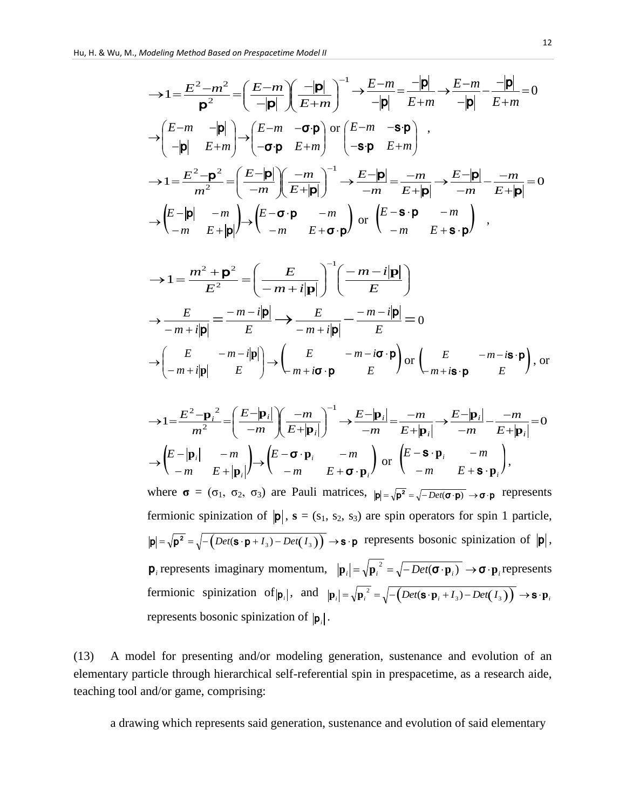$$
\rightarrow 1 = \frac{E^2 - m^2}{p^2} = \left(\frac{E - m}{-|p|}\right)\left(\frac{-|p|}{E + m}\right)^{-1} \rightarrow \frac{E - m}{-|p|} = \frac{-|p|}{E + m} \rightarrow \frac{E - m}{-|p|} = \frac{-|p|}{E + m} = 0
$$
  

$$
\rightarrow \begin{pmatrix} E - m & -|p| \\ -|p| & E + m \end{pmatrix} \rightarrow \begin{pmatrix} E - m & -\sigma \cdot \mathbf{p} \\ -\sigma \cdot \mathbf{p} & E + m \end{pmatrix} \text{ or } \begin{pmatrix} E - m & -\mathbf{s} \cdot \mathbf{p} \\ -\mathbf{s} \cdot \mathbf{p} & E + m \end{pmatrix} ,
$$

$$
\rightarrow 1 = \frac{E^2 - \mathbf{p}^2}{m^2} = \left(\frac{E - |\mathbf{p}|}{-m}\right)\left(\frac{-m}{E + |\mathbf{p}|}\right)^{-1} \rightarrow \frac{E - |\mathbf{p}|}{-m} = \frac{-m}{E + |\mathbf{p}|} \rightarrow \frac{E - |\mathbf{p}|}{-m} - \frac{-m}{E + |\mathbf{p}|} = 0
$$

$$
\rightarrow \begin{pmatrix} E - |\mathbf{p}| & -m \\ -m & E + |\mathbf{p}| \end{pmatrix} \rightarrow \begin{pmatrix} E - \sigma \cdot \mathbf{p} & -m \\ -m & E + \sigma \cdot \mathbf{p} \end{pmatrix} \text{ or } \begin{pmatrix} E - \mathbf{s} \cdot \mathbf{p} & -m \\ -m & E + \mathbf{s} \cdot \mathbf{p} \end{pmatrix} ,
$$

$$
\rightarrow 1 = \frac{m^2 + \mathbf{p}^2}{E^2} = \left(\frac{E}{-m + i|\mathbf{p}|}\right)^{-1} \left(\frac{-m - i|\mathbf{p}|}{E}\right)
$$

$$
\rightarrow \frac{E}{-m + i|\mathbf{p}|} = \frac{-m - i|\mathbf{p}|}{E} \rightarrow \frac{E}{-m + i|\mathbf{p}|} = \frac{-m - i|\mathbf{p}|}{E} = 0
$$

$$
\rightarrow \left(\frac{E}{-m + i|\mathbf{p}|} - \frac{m - i|\mathbf{p}|}{E}\right) \rightarrow \left(\frac{E}{-m + i\mathbf{\sigma} \cdot \mathbf{p}} - \frac{m - i\mathbf{\sigma} \cdot \mathbf{p}}{E}\right) \text{ or } \left(\frac{E}{-m + i\mathbf{s} \cdot \mathbf{p}} - \frac{m - i\mathbf{s} \cdot \mathbf{p}}{E}\right), \text{ or}
$$

$$
\rightarrow 1 = \frac{E^2 - \mathbf{p}_i^2}{m^2} = \left(\frac{E - |\mathbf{p}_i|}{-m}\right) \left(\frac{-m}{E + |\mathbf{p}_i|}\right)^{-1} \rightarrow \frac{E - |\mathbf{p}_i|}{-m} = \frac{-m}{E + |\mathbf{p}_i|} \rightarrow \frac{E - |\mathbf{p}_i|}{-m} - \frac{-m}{E + |\mathbf{p}_i|} = 0
$$
  

$$
\rightarrow \left(\begin{matrix} E - |\mathbf{p}_i| & -m \\ -m & E + |\mathbf{p}_i| \end{matrix}\right) \rightarrow \left(\begin{matrix} E - \sigma \cdot \mathbf{p}_i & -m \\ -m & E + \sigma \cdot \mathbf{p}_i \end{matrix}\right) \text{ or } \left(\begin{matrix} E - \mathbf{S} \cdot \mathbf{p}_i & -m \\ -m & E + \mathbf{S} \cdot \mathbf{p}_i \end{matrix}\right),
$$

where  $\sigma = (\sigma_1, \sigma_2, \sigma_3)$  are Pauli matrices,  $|\mathbf{p}| = \sqrt{\mathbf{p}^2} = \sqrt{-\rho e^{\mathbf{p}(\sigma \cdot \mathbf{p})}} \rightarrow \sigma \cdot \mathbf{p}$  represents fermionic spinization of  $|\mathbf{p}|$ ,  $\mathbf{s} = (s_1, s_2, s_3)$  are spin operators for spin 1 particle,  $p = \sqrt{p^2} = \sqrt{-\left(\text{Det}(s \cdot p + I_3) - \text{Det}(I_3)\right)} \rightarrow s \cdot p$  represents bosonic spinization of  $|p|$ ,  $\mathbf{p}_i$  represents imaginary momentum,  $|\mathbf{p}_i| = \sqrt{\mathbf{p}_i^2} = \sqrt{-Det(\mathbf{\sigma} \cdot \mathbf{p}_i)} \rightarrow \mathbf{\sigma} \cdot \mathbf{p}_i$  represents fermionic spinization of  $|\mathbf{p}_i|$ , and  $|\mathbf{p}_i| = \sqrt{\mathbf{p}_i^2} = \sqrt{-\left(Det(\mathbf{S} \cdot \mathbf{p}_i + I_3) - Det(I_3)\right)} \rightarrow \mathbf{S} \cdot \mathbf{p}_i$ represents bosonic spinization of  $|\mathbf{p}_i|$ .

(13) A model for presenting and/or modeling generation, sustenance and evolution of an elementary particle through hierarchical self-referential spin in prespacetime, as a research aide, teaching tool and/or game, comprising:

a drawing which represents said generation, sustenance and evolution of said elementary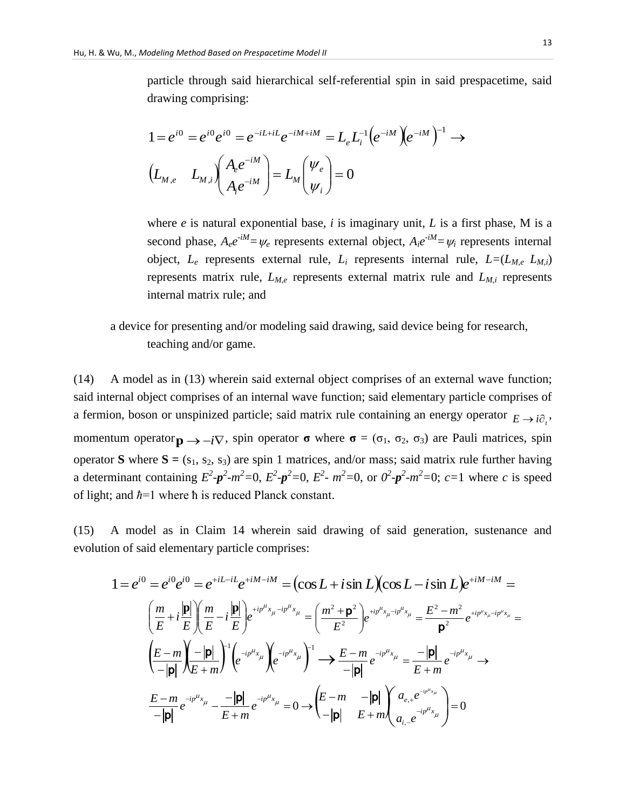particle through said hierarchical self-referential spin in said prespacetime, said drawing comprising:

$$
1 = e^{i0} = e^{i0} e^{i0} = e^{-iL+iL} e^{-iM+iM} = L_e L_i^{-1} (e^{-iM}) (e^{-iM})^{-1} \longrightarrow
$$
  
\n
$$
(L_{M,e} L_{M,i}) (A_e e^{-iM}) = L_M (V_e) = 0
$$

where *e* is natural exponential base, *i* is imaginary unit, *L* is a first phase, M is a second phase,  $A_e e^{-iM} = \psi_e$  represents external object,  $A_i e^{-iM} = \psi_i$  represents internal object,  $L_e$  represents external rule,  $L_i$  represents internal rule,  $L = (L_{M,e}, L_{M,i})$ represents matrix rule,  $L_{M,e}$  represents external matrix rule and  $L_{M,i}$  represents internal matrix rule; and

a device for presenting and/or modeling said drawing, said device being for research, teaching and/or game.

(14) A model as in (13) wherein said external object comprises of an external wave function; said internal object comprises of an internal wave function; said elementary particle comprises of a fermion, boson or unspinized particle; said matrix rule containing an energy operator  $E \rightarrow i\partial_i$ , momentum operator  $\mathbf{p} \rightarrow -i\nabla$ , spin operator **σ** where **σ** = ( $\sigma_1$ ,  $\sigma_2$ ,  $\sigma_3$ ) are Pauli matrices, spin operator **S** where  $S = (s_1, s_2, s_3)$  are spin 1 matrices, and/or mass; said matrix rule further having a determinant containing  $E^2 - p^2 - m^2 = 0$ ,  $E^2 - p^2 = 0$ ,  $E^2 - m^2 = 0$ , or  $0^2 - p^2 - m^2 = 0$ ;  $c = 1$  where c is speed of light; and *ħ*=1 where ħ is reduced Planck constant.

(15) A model as in Claim 14 wherein said drawing of said generation, sustenance and evolution of said elementary particle comprises:

$$
1 = e^{i0} = e^{i0} e^{i0} = e^{+iL-iL} e^{+iM-iM} = (\cos L + i \sin L)(\cos L - i \sin L) e^{+iM-iM} =
$$
  
\n
$$
\left(\frac{m}{E} + i \frac{|\mathbf{p}|}{E}\right) \left(\frac{m}{E} - i \frac{|\mathbf{p}|}{E}\right) e^{+ip^{\mu}x_{\mu} - ip^{\mu}x_{\mu}} = \left(\frac{m^2 + \mathbf{p}^2}{E^2}\right) e^{+ip^{\mu}x_{\mu} - ip^{\mu}x_{\mu}} = \frac{E^2 - m^2}{\mathbf{p}^2} e^{+ip^{\mu}x_{\mu} - ip^{\mu}x_{\mu}} =
$$
  
\n
$$
\left(\frac{E - m}{-|\mathbf{p}|} \right) \left(\frac{-|\mathbf{p}|}{E + m}\right)^{-1} \left(e^{-ip^{\mu}x_{\mu}} \right) e^{-ip^{\mu}x_{\mu}}\right)^{-1} \rightarrow \frac{E - m}{-|\mathbf{p}|} e^{-ip^{\mu}x_{\mu}} = \frac{-|\mathbf{p}|}{E + m} e^{-ip^{\mu}x_{\mu}} \rightarrow
$$
  
\n
$$
\frac{E - m}{-|\mathbf{p}|} e^{-ip^{\mu}x_{\mu}} - \frac{-|\mathbf{p}|}{E + m} e^{-ip^{\mu}x_{\mu}} = 0 \rightarrow \left(\frac{E - m}{-|\mathbf{p}|} - \frac{|\mathbf{p}|}{E + m}\right) a_{e,+} e^{-ip^{\mu}x_{\mu}} = 0
$$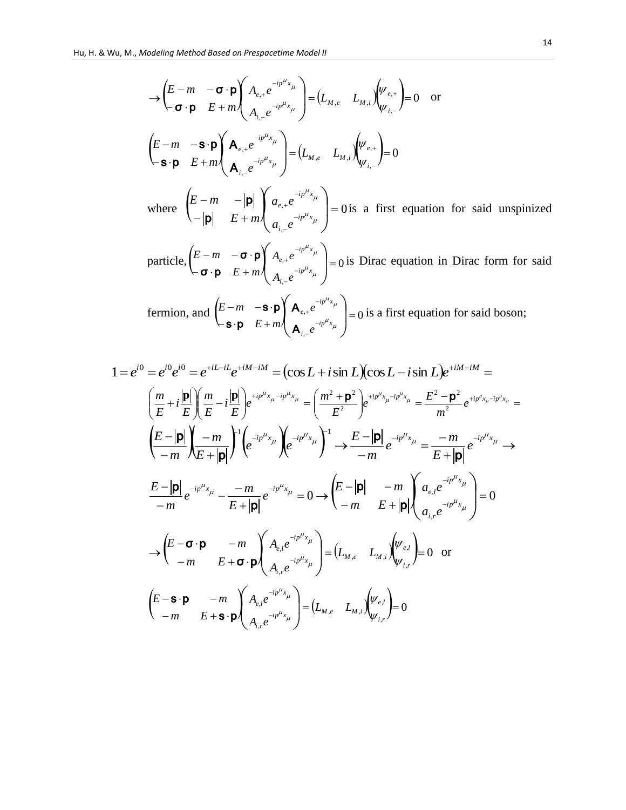$$
\Rightarrow \left(\begin{matrix} E-m & -\sigma \cdot \mathbf{p} \\ -\sigma \cdot \mathbf{p} & E+m \end{matrix}\right) A_{e,+} e^{-ip^{\mu}x_{\mu}}_{A_{i,-}e^{-ip^{\mu}x_{\mu}}} = (L_{M,e} - L_{M,i}) \begin{pmatrix} \psi_{e,+} \\ \psi_{i,-} \end{pmatrix} = 0 \text{ or}
$$
\n
$$
\left(\begin{matrix} E-m & -\mathbf{s} \cdot \mathbf{p} \\ \mathbf{s} \cdot \mathbf{p} & E+m \end{matrix}\right) A_{e,+} e^{-ip^{\mu}x_{\mu}}_{A_{i,-}e^{-ip^{\mu}x_{\mu}}} = (L_{M,e} - L_{M,i}) \begin{pmatrix} \psi_{e,+} \\ \psi_{i,-} \end{pmatrix} = 0
$$
\nwhere\n
$$
\begin{pmatrix} E-m & -|\mathbf{p}| \\ -|\mathbf{p}| & E+m \end{pmatrix} A_{e,+} e^{-ip^{\mu}x_{\mu}}
$$
\nwhere\n
$$
\begin{pmatrix} E-m & -\mathbf{p} \\ -|\mathbf{p}| & E+m \end{pmatrix} A_{e,+} e^{-ip^{\mu}x_{\mu}}
$$
\n
$$
\text{particle}, \left(\begin{matrix} E-m & -\sigma \cdot \mathbf{p} \\ -\sigma \cdot \mathbf{p} & E+m \end{matrix}\right) A_{e,+} e^{-ip^{\mu}x_{\mu}}
$$
\n
$$
= 0 \text{ is Dirac equation in Dirac form for said}
$$

fermion, and  $\begin{bmatrix} E-m & -\mathbf{s} \cdot \mathbf{p} \\ 0 & E \end{bmatrix} \mathbf{A}_{e,+}e^{-\mathbf{p}} = 0$ ,  $\alpha^{+e}$   $\alpha$   $\beta$  $\leftarrow$ **s** $\cdot$ **p**  $E +$  $\begin{bmatrix} -m & -\mathbf{S} \cdot \mathbf{p} \\ \mathbf{S} & \mathbf{p} \end{bmatrix} \mathbf{A}_{e,+} e^{-ipx} \mathbf{A}_{\mu}$ J  $\setminus$  $\mathsf{I}$  $\setminus$  $\sqrt{}$  $\overline{a}$  $\overline{a}$ - $\ddot{}$  $\mu_{x_{\mu}}$  $\mu_{x_{\mu}}$  $i p^{\mu} x$ *i*  $i p^{\mu} x$ *e e e E m E m* A A  $s \cdot p$  $\mathbf{s} \cdot \mathbf{p} \left\| \mathbf{A}_{e,+} e^{-i p \cdot x_{\mu}} \right\|_{0} \leq 0$  is a first equation for said boson;

$$
1 = e^{i0} = e^{i0} e^{i0} = e^{+iL-iL} e^{+iM-iM} = (\cos L + i \sin L)(\cos L - i \sin L) e^{+iM-iM} =
$$
  
\n
$$
\left(\frac{m}{E} + i \frac{|\mathbf{p}|}{E}\right) \left(\frac{m}{E} - i \frac{|\mathbf{p}|}{E}\right) e^{+i p^{\mu} x_{\mu} - i p^{\mu} x_{\mu}} = \left(\frac{m^2 + \mathbf{p}^2}{E^2}\right) e^{+i p^{\mu} x_{\mu} - i p^{\mu} x_{\mu}} = \frac{E^2 - \mathbf{p}^2}{m^2} e^{+i p^{\mu} x_{\mu} - i p^{\mu} x_{\mu}} =
$$
  
\n
$$
\left(\frac{E - |\mathbf{p}|}{-m}\right) \left(\frac{-m}{E + |\mathbf{p}|}\right) \left(e^{-i p^{\mu} x_{\mu}}\right) e^{-i p^{\mu} x_{\mu}}\right)^{-1} \rightarrow \frac{E - |\mathbf{p}|}{-m} e^{-i p^{\mu} x_{\mu}} = \frac{-m}{E + |\mathbf{p}|} e^{-i p^{\mu} x_{\mu}} \rightarrow
$$
  
\n
$$
\frac{E - |\mathbf{p}|}{-m} e^{-i p^{\mu} x_{\mu}} - \frac{-m}{E + |\mathbf{p}|} e^{-i p^{\mu} x_{\mu}} = 0 \rightarrow \left(\frac{E - |\mathbf{p}|}{-m} - \frac{m}{E + |\mathbf{p}|}\right) \left(\frac{a_{e,l} e^{-i p^{\mu} x_{\mu}}}{a_{i,r} e^{-i p^{\mu} x_{\mu}}}\right) = 0
$$
  
\n
$$
\rightarrow \left(\frac{E - \mathbf{\sigma} \cdot \mathbf{p}}{-m} - \frac{m}{E + \mathbf{\sigma} \cdot \mathbf{p}}\right) \left(\frac{A_{e,l} e^{-i p^{\mu} x_{\mu}}}{A_{i,r} e^{-i p^{\mu} x_{\mu}}}\right) = (L_{M,e} - L_{M,i}) \left(\frac{\psi_{e,l}}{\psi_{i,r}}\right) = 0 \text{ or}
$$
  
\n
$$
\left(\frac{E - \mathbf{s} \cdot \mathbf{p}}{-m} - \frac{m}{E + \mathbf{s} \cdot \mathbf{p}}\right) \left(\frac{A_{
$$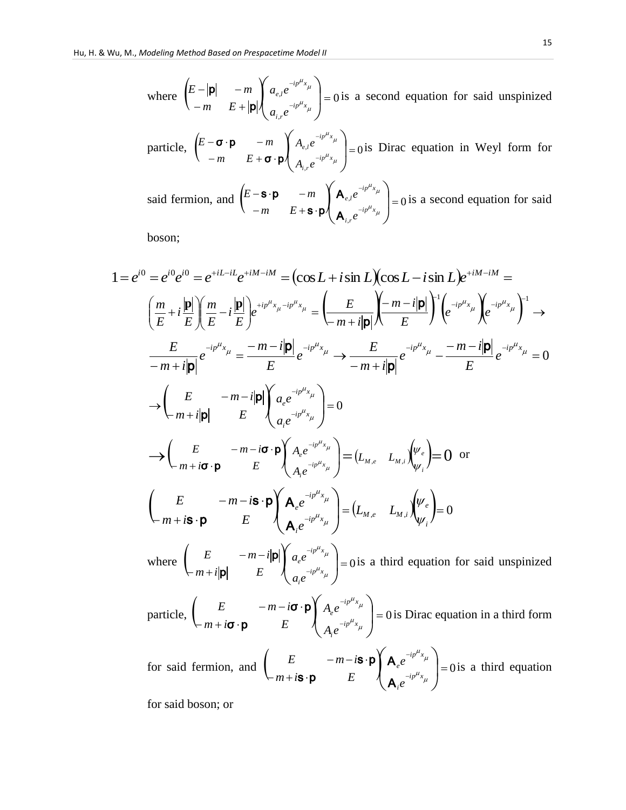where 
$$
\begin{pmatrix} E - |\mathbf{p}| & -m \\ -m & E + |\mathbf{p}| \end{pmatrix} \begin{pmatrix} a_{e,l} e^{-ip^{\mu}x_{\mu}} \\ a_{i,r} e^{-ip^{\mu}x_{\mu}} \end{pmatrix} = 0
$$
 is a second equation for said unspinized

particle, 
$$
\begin{pmatrix} E - \sigma \cdot \mathbf{p} & -m \\ -m & E + \sigma \cdot \mathbf{p} \end{pmatrix} \begin{pmatrix} A_{e,l} e^{-ip^{\mu}x_{\mu}} \\ A_{i,r} e^{-ip^{\mu}x_{\mu}} \end{pmatrix} = 0
$$
 is Dirac equation in Weyl form for

said fermion, and  $\begin{bmatrix} E - S \cdot \mathbf{p} & -m \\ m & E + S \cdot \mathbf{p} \end{bmatrix} \mathbf{A}_{e,l} e^{-\frac{S \cdot \mathbf{p}}{I_{e,l} \cdot \mathbf{p}}} = 0$ ,  $\left| \begin{matrix} \cdot & \cdot \\ \cdot & \cdot \\ \cdot & \cdot \end{matrix} \right| =$  $-m$   $E+$ **s**.  $\begin{bmatrix} -\mathbf{S} \cdot \mathbf{p} & -m \\ m & F + \mathbf{S} \cdot \mathbf{p} \end{bmatrix} \mathbf{A}_{e,l} e^{-ip^T x_{\mu}}$ J  $\setminus$  $\mathsf{I}$  $\setminus$ ſ - $\overline{a}$  $\mu_{x_{\mu}}$  $\mu_{x_{\mu}}$  $i p^{\mu} x$ *i r*  $i p^{\mu} x$ *e l e e m E*  $E - S \cdot p$   $-m$ A A  $s \cdot p$  $\mathbf{s} \cdot \mathbf{p}$  -*m*  $\left\{ \mathbf{A}_{e,l}e^{-ip\cdot x_{\mu}} \right\} = 0$  is a second equation for said

boson;

1 = 
$$
e^{i0} = e^{i0}e^{i0} = e^{+iL-iL}e^{+iM-iM} = (\cos L + i\sin L)(\cos L - i\sin L)e^{+iM-iM} =
$$
  
\n $\left(\frac{m}{E} + i\frac{p}{E}\right)\left(\frac{m}{E} - i\frac{p}{E}\right)e^{+i\frac{m}{E}x_i - i\frac{m}{E}x_i} = \left(\frac{E}{-m+i|p|}\right)\left(\frac{-m-i|p|}{E}\right)^{-1}\left(e^{-i\frac{m}{E}x_i}\right)e^{-i\frac{m}{E}x_i} =$   
\n $\frac{E}{-m+i|p|}e^{-i\frac{m}{E}x_i} = \frac{-m-i|p|}{E}e^{-i\frac{m}{E}x_i} \rightarrow \frac{E}{-m+i|p|}e^{-i\frac{m}{E}x_i} = \frac{-m-i|p|}{E}e^{-i\frac{m}{E}x_i} = 0$   
\n $\rightarrow \left(\frac{E}{m+i|p|}\right)^{E} \left(\frac{a_e e^{-i\frac{m}{E}x_i}}{a_e e^{-i\frac{m}{E}x_i}}\right) = 0$   
\n $\rightarrow \left(\frac{E}{m+i\sigma \cdot p}\right)^{E} \left(\frac{A_e e^{-i\frac{m}{E}x_i}}{A_e e^{-i\frac{m}{E}x_i}}\right) = (L_{M,e} - L_{M,i})\left(\frac{w_e}{w_i}\right) = 0$  or  
\n $\left(\frac{E}{m+i\sigma \cdot p}\right)^{E} \left(\frac{A_e e^{-i\frac{m}{E}x_i}}{A_e e^{-i\frac{m}{E}x_i}}\right) = (L_{M,e} - L_{M,i})\left(\frac{w_e}{w_i}\right) = 0$   
\nwhere  $\left(\frac{E}{-m+i|p|}\right)^{E} \left(\frac{a_e e^{-i\frac{m}{E}x_i}}{a_e e^{-i\frac{m}{E}x_i}}\right) = 0$  is a third equation for said unspinized particle,  
\n $\left(\frac{E}{-m+i\sigma \cdot p}\right)^{E} \left(\frac{A_e e^{-i\frac{m}{E}x_i}}{A_e e^{-i\frac{m}{E}x_i}}\right) = 0$  is Dirac equation in a third form for said fermion, and  $\left(\frac{E}{-m+i\sigma \cdot p}\right$ 

for said boson; or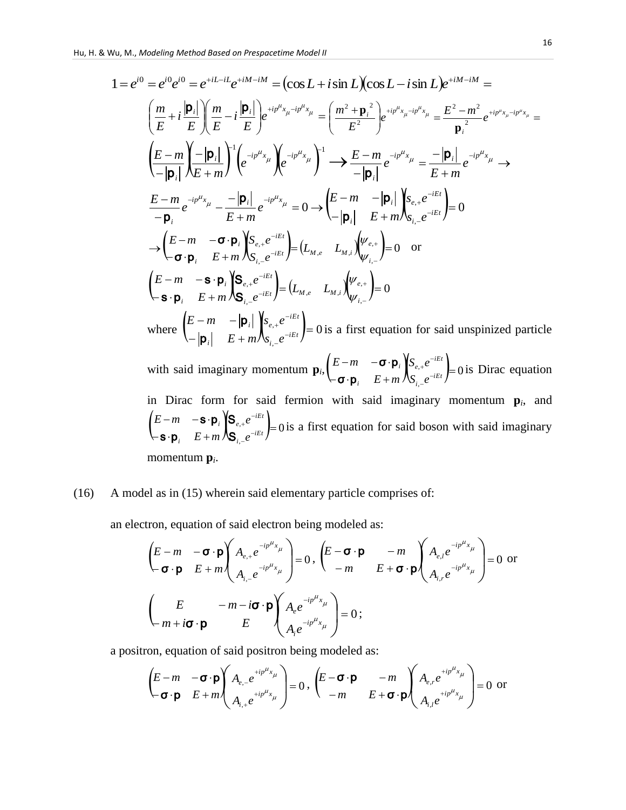Hu, H. & Wu, M., Modeling Method Based on Prespacetime Model II  
\n
$$
1 = e^{i0} = e^{i0}e^{i0} = e^{+iL-iL}e^{+iM-iM} = (\cos L + i \sin L)(\cos L - i \sin L)e^{+iM-iM} =
$$
\n
$$
\left(\frac{m}{E} + i\frac{|\mathbf{p}_i|}{E}\right)\left(\frac{m}{E} - i\frac{|\mathbf{p}_i|}{E}\right)e^{+i\mu^k x_{\mu} - i\mu^k x_{\mu}} = \left(\frac{m^2 + \mathbf{p}_i^2}{E^2}\right)e^{+i\mu^k x_{\mu} - i\mu^k x_{\mu}} = \frac{E^2 - m^2}{\mathbf{p}_i^2}e^{+i\mu^k x_{\mu} - i\mu^k x_{\mu}} =
$$
\n
$$
\left(\frac{E - m}{-|\mathbf{p}_i|}\right)\left(\frac{-|\mathbf{p}_i|}{E + m}\right)^{-1}\left(e^{-i\mu^k x_{\mu}}\right)e^{-i\mu^k x_{\mu}}\right)^{-1} \longrightarrow \frac{E - m}{-|\mathbf{p}_i|}e^{-i\mu^k x_{\mu}} = \frac{-|\mathbf{p}_i|}{E + m}e^{-i\mu^k x_{\mu}} \longrightarrow
$$
\n
$$
\frac{E - m}{-|\mathbf{p}_i|}e^{-i\mu^k x_{\mu}} - \frac{-|\mathbf{p}_i|}{E + m}e^{-i\mu^k x_{\mu}} = 0 \longrightarrow \left(\frac{E - m}{-|\mathbf{p}_i|}\right)\left(\frac{V_{e,+}e^{-iEt}}{E + m}\right) = 0
$$
\n
$$
\rightarrow \left(\frac{E - m}{- \mathbf{p}_i} - \frac{\mathbf{p}_i}{E + m}\right)S_{i,-}e^{-iEt} = (L_{M,e} - L_{M,i})\left(\frac{V_{e,+}}{V_{i,-}}\right) = 0
$$
\n
$$
\left(\frac{E - m}{- \mathbf{p}_i} - \frac{\mathbf{p}_i}{E + m}\right)S_{i,-}e^{-iEt} = 0 \text{ is a first equation for said unspinized particle with said imaginary momentum } \mathbf{p}_i, \left(\frac{E - m}{- \mathbf{p}_i}\right) = 0 \text{ is Dira equation}
$$
\n
$$
\text{in Dirac form for said fermion with said imaginary momentum }
$$

## (16) A model as in (15) wherein said elementary particle comprises of:

an electron, equation of said electron being modeled as:

$$
\left(\begin{array}{ccc}\nE - m & -\boldsymbol{\sigma} \cdot \boldsymbol{p} \\
-\boldsymbol{\sigma} \cdot \boldsymbol{p} & E + m\n\end{array}\right) A_{e,+} e^{-ip^{\mu}x_{\mu}}\n\begin{bmatrix}\nE - \boldsymbol{\sigma} \cdot \boldsymbol{p} & -m \\
A_{i,-} e^{-ip^{\mu}x_{\mu}} & -m & E + \boldsymbol{\sigma} \cdot \boldsymbol{p}\n\end{bmatrix}\n\begin{array}{ccc}\nA_{e,+} e^{-ip^{\mu}x_{\mu}} \\
A_{i,-} e^{-ip^{\mu}x_{\mu}}\n\end{array}\n\right) = 0 \text{ or } \\
\left(\begin{array}{ccc}\nE & -m - i\boldsymbol{\sigma} \cdot \boldsymbol{p} \\
m + i\boldsymbol{\sigma} \cdot \boldsymbol{p} & E\n\end{array}\right) A_{e} e^{-ip^{\mu}x_{\mu}}\n\begin{array}{ccc}\nA_{e,-} e^{-ip^{\mu}x_{\mu}} \\
A_{i} e^{-ip^{\mu}x_{\mu}}\n\end{array}\n\right) = 0 ;\n\end{array}
$$

a positron, equation of said positron being modeled as:

$$
\begin{pmatrix} E-m & -\boldsymbol{\sigma} \cdot \boldsymbol{p} \\ -\boldsymbol{\sigma} \cdot \boldsymbol{p} & E+m \end{pmatrix} \begin{pmatrix} A_{e,-}e^{+ip^{\mu}x_{\mu}} \\ A_{i,+}e^{+ip^{\mu}x_{\mu}} \end{pmatrix} = 0, \begin{pmatrix} E-\boldsymbol{\sigma} \cdot \boldsymbol{p} & -m \\ -m & E+\boldsymbol{\sigma} \cdot \boldsymbol{p} \end{pmatrix} \begin{pmatrix} A_{e,r}e^{+ip^{\mu}x_{\mu}} \\ A_{i,l}e^{+ip^{\mu}x_{\mu}} \end{pmatrix} = 0 \text{ or }
$$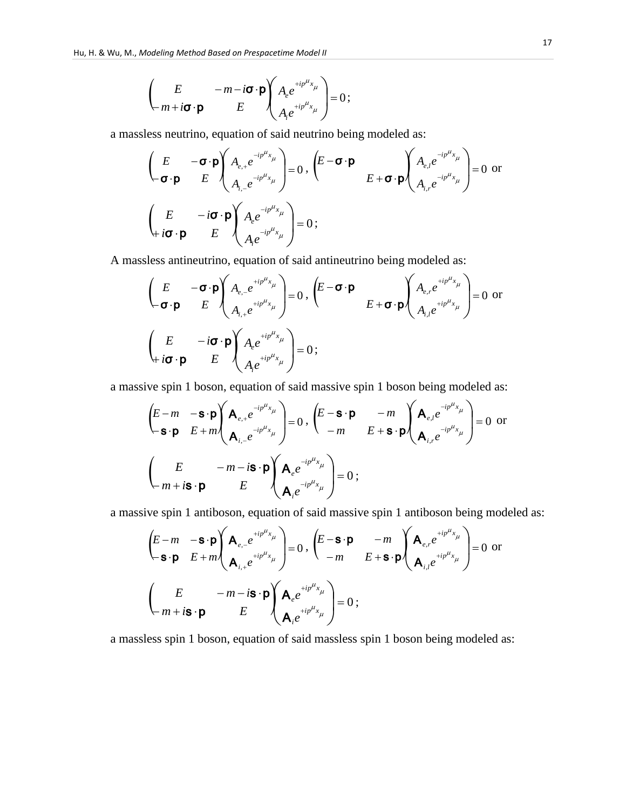$$
\begin{pmatrix}\nE & -m-i\boldsymbol{\sigma}\cdot\boldsymbol{p} \\
m+i\boldsymbol{\sigma}\cdot\boldsymbol{p} & E\n\end{pmatrix}\n\begin{pmatrix}\nA_e e^{+ip^{\mu}x_{\mu}} \\
A_i e^{+ip^{\mu}x_{\mu}}\n\end{pmatrix} = 0;
$$

a massless neutrino, equation of said neutrino being modeled as:

$$
\left(\begin{array}{ccc} E & -\boldsymbol{\sigma}\cdot\boldsymbol{\mathsf{p}} \\ -\boldsymbol{\sigma}\cdot\boldsymbol{\mathsf{p}} & E \end{array}\right) \left(\begin{array}{c} A_{e,+}e^{-ip^{\mu}x_{\mu}} \\ A_{i,-}e^{-ip^{\mu}x_{\mu}} \end{array}\right) = 0, \left(\begin{array}{ccc} E-\boldsymbol{\sigma}\cdot\boldsymbol{\mathsf{p}} & \\ & E+\boldsymbol{\sigma}\cdot\boldsymbol{\mathsf{p}} \end{array}\right) \left(\begin{array}{c} A_{e,i}e^{-ip^{\mu}x_{\mu}} \\ A_{i,r}e^{-ip^{\mu}x_{\mu}} \end{array}\right) = 0 \text{ or } \\ \left(\begin{array}{ccc} E & -i\boldsymbol{\sigma}\cdot\boldsymbol{\mathsf{p}} \\ H_{i}\boldsymbol{\sigma}\cdot\boldsymbol{\mathsf{p}} & E \end{array}\right) \left(\begin{array}{c} A_{e,i}e^{-ip^{\mu}x_{\mu}} \\ A_{e}e^{-ip^{\mu}x_{\mu}} \end{array}\right) = 0 ; \end{array}
$$

A massless antineutrino, equation of said antineutrino being modeled as:

$$
\begin{pmatrix}\nE & -\boldsymbol{\sigma} \cdot \boldsymbol{p} \\
-\boldsymbol{\sigma} \cdot \boldsymbol{p} & E\n\end{pmatrix}\n\begin{pmatrix}\nA_{e,-}e^{+ip^{\mu}x_{\mu}} \\
A_{i,+}e^{+ip^{\mu}x_{\mu}}\n\end{pmatrix} = 0, \quad\n\begin{pmatrix}\nE - \boldsymbol{\sigma} \cdot \boldsymbol{p} \\
E + \boldsymbol{\sigma} \cdot \boldsymbol{p}\n\end{pmatrix}\n\begin{pmatrix}\nA_{e,r}e^{+ip^{\mu}x_{\mu}} \\
A_{i,l}e^{+ip^{\mu}x_{\mu}}\n\end{pmatrix} = 0 \text{ or } \n\begin{pmatrix}\nE & -i\boldsymbol{\sigma} \cdot \boldsymbol{p} \\
A_{e}e^{+ip^{\mu}x_{\mu}}\n\end{pmatrix} = 0;
$$

a massive spin 1 boson, equation of said massive spin 1 boson being modeled as:

$$
\left(\begin{array}{ccc}\nE-m & -\mathbf{s}\cdot\mathbf{p} \\
-\mathbf{s}\cdot\mathbf{p} & E+m\n\end{array}\right)\n\left(\begin{array}{ccc}\n\mathbf{A}_{e,+}e^{-ip^{\mu}x_{\mu}} \\
\mathbf{A}_{i,-}e^{-ip^{\mu}x_{\mu}}\n\end{array}\right) = 0, \quad\n\left(\begin{array}{ccc}\nE-\mathbf{s}\cdot\mathbf{p} & -m \\
-m & E+\mathbf{s}\cdot\mathbf{p}\n\end{array}\right)\n\left(\begin{array}{ccc}\n\mathbf{A}_{e,i}e^{-ip^{\mu}x_{\mu}} \\
\mathbf{A}_{i,r}e^{-ip^{\mu}x_{\mu}}\n\end{array}\right) = 0 \text{ or } \\
\left(\begin{array}{ccc}\nE & -m-i\mathbf{s}\cdot\mathbf{p} \\
m+i\mathbf{s}\cdot\mathbf{p} & E\n\end{array}\right)\n\left(\begin{array}{ccc}\n\mathbf{A}_{e}e^{-ip^{\mu}x_{\mu}} \\
\mathbf{A}_{i}e^{-ip^{\mu}x_{\mu}}\n\end{array}\right) = 0 ;
$$

a massive spin 1 antiboson, equation of said massive spin 1 antiboson being modeled as:

$$
\left(\begin{array}{ccc}\nE-m & -\mathbf{s}\cdot\mathbf{p} \\
-\mathbf{s}\cdot\mathbf{p} & E+m\n\end{array}\right)\n\left(\begin{array}{ccc}\n\mathbf{A}_{e,-}e^{+ip^{\mu}x_{\mu}} \\
\mathbf{A}_{i,+}e^{+ip^{\mu}x_{\mu}}\n\end{array}\right) = 0, \quad\n\left(\begin{array}{ccc}\nE-\mathbf{s}\cdot\mathbf{p} & -m \\
-m & E+\mathbf{s}\cdot\mathbf{p}\n\end{array}\right)\n\left(\begin{array}{ccc}\n\mathbf{A}_{e,r}e^{+ip^{\mu}x_{\mu}} \\
\mathbf{A}_{i,l}e^{+ip^{\mu}x_{\mu}}\n\end{array}\right) = 0 \text{ or } \\
\left(\begin{array}{ccc}\nE & -m-i\mathbf{s}\cdot\mathbf{p} \\
m+i\mathbf{s}\cdot\mathbf{p} & E\n\end{array}\right)\n\left(\begin{array}{ccc}\n\mathbf{A}_{e}e^{+ip^{\mu}x_{\mu}} \\
\mathbf{A}_{i}e^{+ip^{\mu}x_{\mu}}\n\end{array}\right) = 0 ;
$$

a massless spin 1 boson, equation of said massless spin 1 boson being modeled as: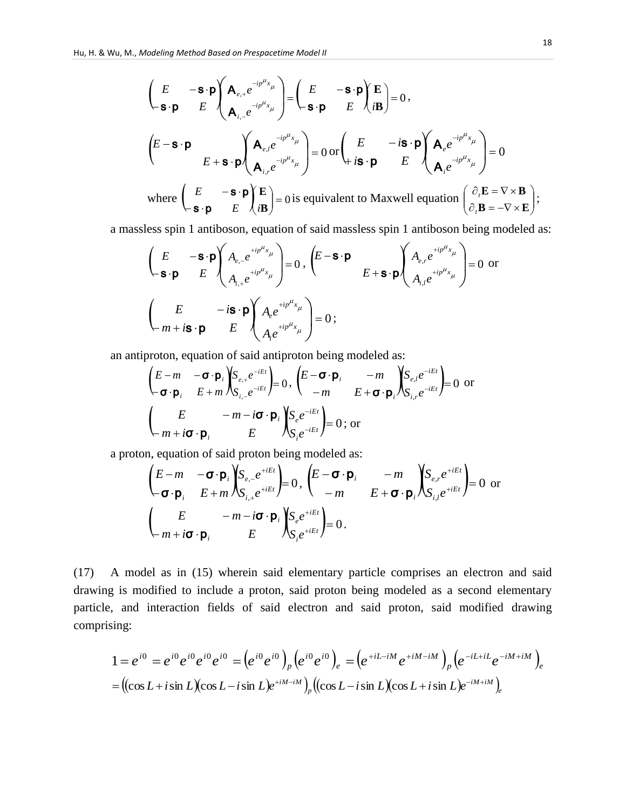$$
\left(\begin{matrix}\nE & -\mathbf{s} \cdot \mathbf{p} \\
\mathbf{s} \cdot \mathbf{p} & E\n\end{matrix}\right) \left(\begin{matrix}\n\mathbf{A}_{e,+}e^{-ip^{\mu}x_{\mu}} \\
\mathbf{A}_{i,-}e^{-ip^{\mu}x_{\mu}}\n\end{matrix}\right) = \left(\begin{matrix}\nE & -\mathbf{s} \cdot \mathbf{p} \\
\mathbf{s} \cdot \mathbf{p} & E\n\end{matrix}\right) \left(\begin{matrix}\nE \\
i\mathbf{B}\n\end{matrix}\right) = 0,
$$
\n
$$
\left(\begin{matrix}\nE - \mathbf{s} \cdot \mathbf{p} \\
\mathbf{A}_{e}e^{-ip^{\mu}x_{\mu}}\n\end{matrix}\right) = 0 \text{ or } \left(\begin{matrix}\nE & -i\mathbf{s} \cdot \mathbf{p} \\
i\mathbf{s} \cdot \mathbf{p} & E\n\end{matrix}\right) \left(\begin{matrix}\n\mathbf{A}_{e}e^{-ip^{\mu}x_{\mu}} \\
\mathbf{A}_{i}e^{-ip^{\mu}x_{\mu}}\n\end{matrix}\right) = 0
$$
\nwhere\n
$$
\left(\begin{matrix}\nE & -\mathbf{s} \cdot \mathbf{p} \\
\mathbf{s} \cdot \mathbf{p} & E\n\end{matrix}\right) \left(\begin{matrix}\nE \\
i\mathbf{B}\n\end{matrix}\right) = 0 \text{ is equivalent to Maxwell equation } \left(\begin{matrix}\n\partial_{i}\mathbf{E} = \nabla \times \mathbf{B} \\
\partial_{i}\mathbf{B} = -\nabla \times \mathbf{E}\n\end{matrix}\right);
$$

a massless spin 1 antiboson, equation of said massless spin 1 antiboson being modeled as:

$$
\begin{pmatrix}\nE & -\mathbf{s} \cdot \mathbf{p} \\
-\mathbf{s} \cdot \mathbf{p} & E\n\end{pmatrix}\n\begin{pmatrix}\nA_{e,-}e^{+ip^{\mu}x_{\mu}} \\
A_{i,+}e^{+ip^{\mu}x_{\mu}}\n\end{pmatrix} = 0, \quad\n\begin{pmatrix}\nE - \mathbf{s} \cdot \mathbf{p} \\
E + \mathbf{s} \cdot \mathbf{p}\n\end{pmatrix}\n\begin{pmatrix}\nA_{e,r}e^{+ip^{\mu}x_{\mu}} \\
A_{i,l}e^{+ip^{\mu}x_{\mu}}\n\end{pmatrix} = 0 \text{ or } \n\begin{pmatrix}\nE & -i\mathbf{s} \cdot \mathbf{p} \\
A_{i}e^{+ip^{\mu}x_{\mu}}\n\end{pmatrix} = 0;
$$

an antiproton, equation of said antiproton being modeled as:

$$
\begin{pmatrix}\nE - m & -\boldsymbol{\sigma} \cdot \boldsymbol{p}_i \\
-\boldsymbol{\sigma} \cdot \boldsymbol{p}_i & E + m\n\end{pmatrix}\n\begin{pmatrix}\nS_{e,+}e^{-iEt} \\
S_{i,-}e^{-iEt}\n\end{pmatrix} = 0, \quad\n\begin{pmatrix}\nE - \boldsymbol{\sigma} \cdot \boldsymbol{p}_i & -m \\
-m & E + \boldsymbol{\sigma} \cdot \boldsymbol{p}_i\n\end{pmatrix}\n\begin{pmatrix}\nS_{e,I}e^{-iEt} \\
S_{i,F}e^{-iEt}\n\end{pmatrix} = 0 \text{ or }
$$
\n
$$
\begin{pmatrix}\nE & -m - i\boldsymbol{\sigma} \cdot \boldsymbol{p}_i \\
m + i\boldsymbol{\sigma} \cdot \boldsymbol{p}_i & E\n\end{pmatrix}\n\begin{pmatrix}\nS_{e}e^{-iEt} \\
S_{i}e^{-iEt}\n\end{pmatrix} = 0 \text{; or }
$$

a proton, equation of said proton being modeled as:

$$
\begin{pmatrix}\nE-m & -\boldsymbol{\sigma} \cdot \boldsymbol{p}_i \\
\boldsymbol{\sigma} \cdot \boldsymbol{p}_i & E+m\n\end{pmatrix}\n\begin{pmatrix}\nS_{e,-}e^{+iEt} \\
S_{i,+}e^{+iEt}\n\end{pmatrix} = 0, \quad\n\begin{pmatrix}\nE-\boldsymbol{\sigma} \cdot \boldsymbol{p}_i & -m \\
-m & E+\boldsymbol{\sigma} \cdot \boldsymbol{p}_i\n\end{pmatrix}\n\begin{pmatrix}\nS_{e,r}e^{+iEt} \\
S_{i,l}e^{+iEt}\n\end{pmatrix} = 0 \text{ or }
$$
\n
$$
\begin{pmatrix}\nE & -m-i\boldsymbol{\sigma} \cdot \boldsymbol{p}_i \\
m+i\boldsymbol{\sigma} \cdot \boldsymbol{p}_i & E\n\end{pmatrix}\n\begin{pmatrix}\nS_{e}e^{+iEt} \\
S_{i}e^{+iEt}\n\end{pmatrix} = 0.
$$

(17) A model as in (15) wherein said elementary particle comprises an electron and said drawing is modified to include a proton, said proton being modeled as a second elementary particle, and interaction fields of said electron and said proton, said modified drawing comprising:

sing:  
\n
$$
1 = e^{i0} = e^{i0} e^{i0} e^{i0} = (e^{i0} e^{i0})_p (e^{i0} e^{i0})_e = (e^{+iL-iM} e^{+iM-iM})_p (e^{-iL+iL} e^{-iM+iM})_e
$$
\n
$$
= ((\cos L + i \sin L)(\cos L - i \sin L)e^{+iM-iM})_p ((\cos L - i \sin L)(\cos L + i \sin L)e^{-iM+iM})_e
$$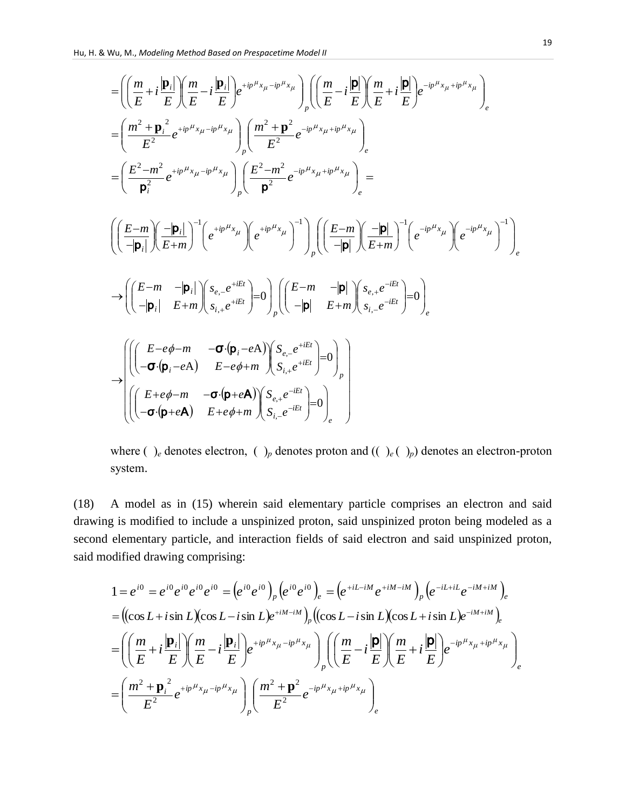$$
\begin{split}\n&= \left( \left( \frac{m}{E} + i \frac{|\mathbf{p}_i|}{E} \right) \left( \frac{m}{E} - i \frac{|\mathbf{p}_i|}{E} \right) e^{+ipH_{x_{\mu}}-ipH_{x_{\mu}}}\right)_{p} \left( \left( \frac{m}{E} - i \frac{|\mathbf{p}|}{E} \right) \left( \frac{m}{E} + i \frac{|\mathbf{p}|}{E} \right) e^{-ipH_{x_{\mu}}+ipH_{x_{\mu}}}\right)_{e} \\
&= \left( \frac{m^2 + \mathbf{p}_i^2}{E^2} e^{+ipH_{x_{\mu}}-ipH_{x_{\mu}}}\right)_{p} \left( \frac{m^2 + \mathbf{p}^2}{E^2} e^{-ipH_{x_{\mu}}+ipH_{x_{\mu}}}\right)_{e} \\
&= \left( \frac{E^2 - m^2}{\mathbf{p}_i^2} e^{+ipH_{x_{\mu}}-ipH_{x_{\mu}}}\right)_{p} \left( \frac{E^2 - m^2}{\mathbf{p}^2} e^{-ipH_{x_{\mu}}+ipH_{x_{\mu}}}\right)_{e} \\
&= \left( \left( \frac{E - m}{-|\mathbf{p}_i|} \right) \left( \frac{-|\mathbf{p}_i|}{E + m} \right)^{-1} \left( e^{+ipH_{x_{\mu}}}\right)^{-1} \right) \left( \left( \frac{E - m}{-|\mathbf{p}|} \right) \left( \frac{-|\mathbf{p}|}{E + m} \right)^{-1} \left( e^{-ipH_{x_{\mu}}}\right)^{-1} \right)_{e} \\
&\rightarrow \left( \left( \frac{E - m}{-|\mathbf{p}_i|} - \frac{|\mathbf{p}_i|}{E + m} \right) \left( s_{e,-} e^{+iEt} \right) = 0 \right)_{p} \left( \left( \frac{E - m}{-|\mathbf{p}|} - \frac{|\mathbf{p}|}{E + m} \right) \left( s_{i,-} e^{-iEt} \right) = 0 \right)_{e} \\
&\rightarrow \left( \left( \frac{E - e\phi - m}{- \mathbf{p}_i} - \frac{-(\mathbf{p}_i - e\mathbf{A})}{E - e\phi + m} \right) \left( s_{i,+} e^{-iEt} \right) = 0 \right)_{p} \\
&\rightarrow \left( \
$$

where ( )<sub>e</sub> denotes electron, ( )<sub>p</sub> denotes proton and (( )<sub>e</sub>( )<sub>p</sub>) denotes an electron-proton system.

(18) A model as in (15) wherein said elementary particle comprises an electron and said drawing is modified to include a unspinized proton, said unspinized proton being modeled as a second elementary particle, and interaction fields of said electron and said unspinized proton, said modified drawing comprising:

$$
1 = e^{i0} = e^{i0} e^{i0} e^{i0} e^{i0} = (e^{i0} e^{i0})_p (e^{i0} e^{i0})_e = (e^{+iL-iM} e^{+iM-iM})_p (e^{-iL+iL} e^{-iM+iM})_e
$$
  
=  $((\cos L + i \sin L)(\cos L - i \sin L)e^{+iM-iM})_p ((\cos L - i \sin L)(\cos L + i \sin L)e^{-iM+iM})_e$   
=  $\left( \left( \frac{m}{E} + i \frac{|\mathbf{p}_i|}{E} \right) \left( \frac{m}{E} - i \frac{|\mathbf{p}_i|}{E} \right) e^{+ip^{\mu}x_{\mu} - ip^{\mu}x_{\mu}} \right)_p \left( \left( \frac{m}{E} - i \frac{|\mathbf{p}|}{E} \right) \left( \frac{m}{E} + i \frac{|\mathbf{p}|}{E} \right) e^{-ip^{\mu}x_{\mu} + ip^{\mu}x_{\mu}} \right)_e$   
=  $\left( \frac{m^2 + \mathbf{p}_i^2}{E^2} e^{+ip^{\mu}x_{\mu} - ip^{\mu}x_{\mu}} \right)_p \left( \frac{m^2 + \mathbf{p}^2}{E^2} e^{-ip^{\mu}x_{\mu} + ip^{\mu}x_{\mu}} \right)_e$